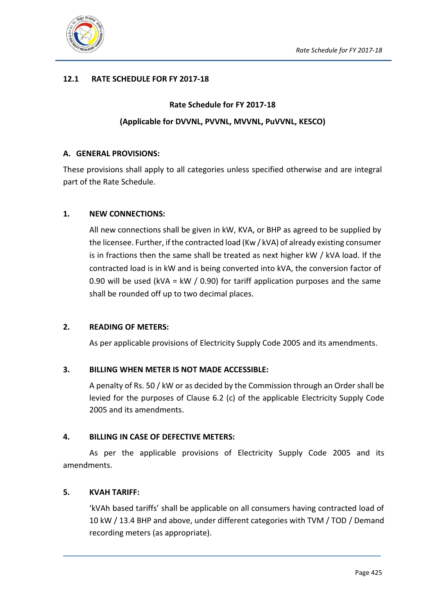

## **12.1 RATE SCHEDULE FOR FY 2017-18**

# **Rate Schedule for FY 2017-18 (Applicable for DVVNL, PVVNL, MVVNL, PuVVNL, KESCO)**

#### **A. GENERAL PROVISIONS:**

These provisions shall apply to all categories unless specified otherwise and are integral part of the Rate Schedule.

## **1. NEW CONNECTIONS:**

All new connections shall be given in kW, KVA, or BHP as agreed to be supplied by the licensee. Further, if the contracted load (Kw / kVA) of already existing consumer is in fractions then the same shall be treated as next higher kW / kVA load. If the contracted load is in kW and is being converted into kVA, the conversion factor of 0.90 will be used (kVA = kW / 0.90) for tariff application purposes and the same shall be rounded off up to two decimal places.

## **2. READING OF METERS:**

As per applicable provisions of Electricity Supply Code 2005 and its amendments.

## **3. BILLING WHEN METER IS NOT MADE ACCESSIBLE:**

A penalty of Rs. 50 / kW or as decided by the Commission through an Order shall be levied for the purposes of Clause 6.2 (c) of the applicable Electricity Supply Code 2005 and its amendments.

## **4. BILLING IN CASE OF DEFECTIVE METERS:**

As per the applicable provisions of Electricity Supply Code 2005 and its amendments.

## **5. KVAH TARIFF:**

'kVAh based tariffs' shall be applicable on all consumers having contracted load of 10 kW / 13.4 BHP and above, under different categories with TVM / TOD / Demand recording meters (as appropriate).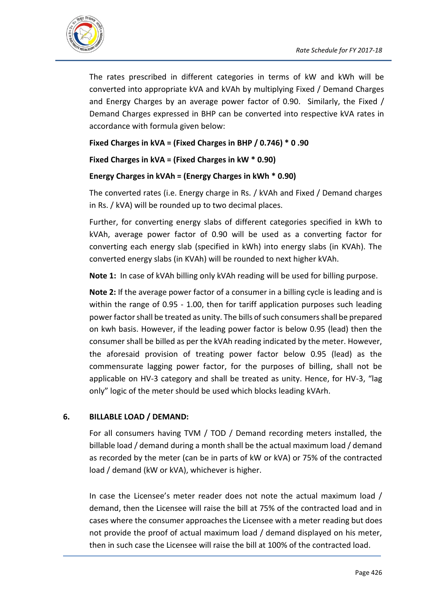

The rates prescribed in different categories in terms of kW and kWh will be converted into appropriate kVA and kVAh by multiplying Fixed / Demand Charges and Energy Charges by an average power factor of 0.90. Similarly, the Fixed / Demand Charges expressed in BHP can be converted into respective kVA rates in accordance with formula given below:

## **Fixed Charges in kVA = (Fixed Charges in BHP / 0.746) \* 0 .90**

**Fixed Charges in kVA = (Fixed Charges in kW \* 0.90)**

## **Energy Charges in kVAh = (Energy Charges in kWh \* 0.90)**

The converted rates (i.e. Energy charge in Rs. / kVAh and Fixed / Demand charges in Rs. / kVA) will be rounded up to two decimal places.

Further, for converting energy slabs of different categories specified in kWh to kVAh, average power factor of 0.90 will be used as a converting factor for converting each energy slab (specified in kWh) into energy slabs (in KVAh). The converted energy slabs (in KVAh) will be rounded to next higher kVAh.

**Note 1:** In case of kVAh billing only kVAh reading will be used for billing purpose.

**Note 2:** If the average power factor of a consumer in a billing cycle is leading and is within the range of 0.95 - 1.00, then for tariff application purposes such leading power factor shall be treated as unity. The bills of such consumers shall be prepared on kwh basis. However, if the leading power factor is below 0.95 (lead) then the consumer shall be billed as per the kVAh reading indicated by the meter. However, the aforesaid provision of treating power factor below 0.95 (lead) as the commensurate lagging power factor, for the purposes of billing, shall not be applicable on HV-3 category and shall be treated as unity. Hence, for HV-3, "lag only" logic of the meter should be used which blocks leading kVArh.

#### **6. BILLABLE LOAD / DEMAND:**

For all consumers having TVM / TOD / Demand recording meters installed, the billable load / demand during a month shall be the actual maximum load / demand as recorded by the meter (can be in parts of kW or kVA) or 75% of the contracted load / demand (kW or kVA), whichever is higher.

In case the Licensee's meter reader does not note the actual maximum load / demand, then the Licensee will raise the bill at 75% of the contracted load and in cases where the consumer approaches the Licensee with a meter reading but does not provide the proof of actual maximum load / demand displayed on his meter, then in such case the Licensee will raise the bill at 100% of the contracted load.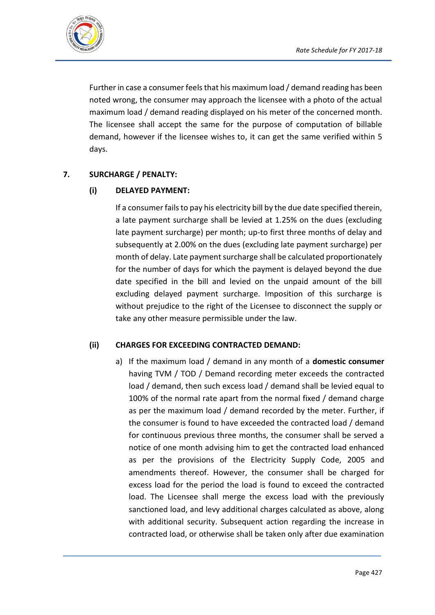

Further in case a consumer feels that his maximum load / demand reading has been noted wrong, the consumer may approach the licensee with a photo of the actual maximum load / demand reading displayed on his meter of the concerned month. The licensee shall accept the same for the purpose of computation of billable demand, however if the licensee wishes to, it can get the same verified within 5 days.

## **7. SURCHARGE / PENALTY:**

## **(i) DELAYED PAYMENT:**

If a consumer fails to pay his electricity bill by the due date specified therein, a late payment surcharge shall be levied at 1.25% on the dues (excluding late payment surcharge) per month; up-to first three months of delay and subsequently at 2.00% on the dues (excluding late payment surcharge) per month of delay. Late payment surcharge shall be calculated proportionately for the number of days for which the payment is delayed beyond the due date specified in the bill and levied on the unpaid amount of the bill excluding delayed payment surcharge. Imposition of this surcharge is without prejudice to the right of the Licensee to disconnect the supply or take any other measure permissible under the law.

## **(ii) CHARGES FOR EXCEEDING CONTRACTED DEMAND:**

a) If the maximum load / demand in any month of a **domestic consumer** having TVM / TOD / Demand recording meter exceeds the contracted load / demand, then such excess load / demand shall be levied equal to 100% of the normal rate apart from the normal fixed / demand charge as per the maximum load / demand recorded by the meter. Further, if the consumer is found to have exceeded the contracted load / demand for continuous previous three months, the consumer shall be served a notice of one month advising him to get the contracted load enhanced as per the provisions of the Electricity Supply Code, 2005 and amendments thereof. However, the consumer shall be charged for excess load for the period the load is found to exceed the contracted load. The Licensee shall merge the excess load with the previously sanctioned load, and levy additional charges calculated as above, along with additional security. Subsequent action regarding the increase in contracted load, or otherwise shall be taken only after due examination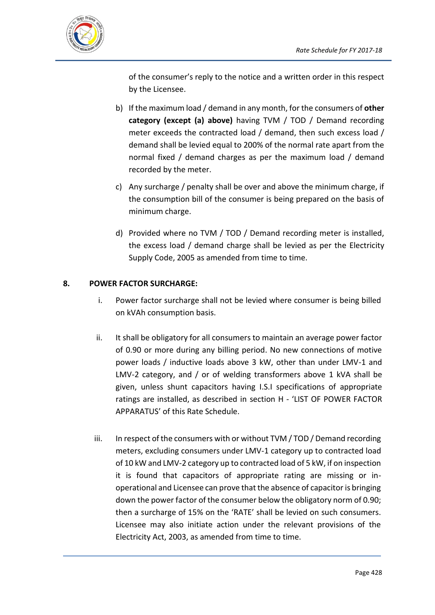

of the consumer's reply to the notice and a written order in this respect by the Licensee.

- b) If the maximum load / demand in any month, for the consumers of **other category (except (a) above)** having TVM / TOD / Demand recording meter exceeds the contracted load / demand, then such excess load / demand shall be levied equal to 200% of the normal rate apart from the normal fixed / demand charges as per the maximum load / demand recorded by the meter.
- c) Any surcharge / penalty shall be over and above the minimum charge, if the consumption bill of the consumer is being prepared on the basis of minimum charge.
- d) Provided where no TVM / TOD / Demand recording meter is installed, the excess load / demand charge shall be levied as per the Electricity Supply Code, 2005 as amended from time to time.

## **8. POWER FACTOR SURCHARGE:**

- i. Power factor surcharge shall not be levied where consumer is being billed on kVAh consumption basis.
- ii. It shall be obligatory for all consumers to maintain an average power factor of 0.90 or more during any billing period. No new connections of motive power loads / inductive loads above 3 kW, other than under LMV-1 and LMV-2 category, and / or of welding transformers above 1 kVA shall be given, unless shunt capacitors having I.S.I specifications of appropriate ratings are installed, as described in section H - 'LIST OF POWER FACTOR APPARATUS' of this Rate Schedule.
- iii. In respect of the consumers with or without TVM / TOD / Demand recording meters, excluding consumers under LMV-1 category up to contracted load of 10 kW and LMV-2 category up to contracted load of 5 kW, if on inspection it is found that capacitors of appropriate rating are missing or inoperational and Licensee can prove that the absence of capacitor is bringing down the power factor of the consumer below the obligatory norm of 0.90; then a surcharge of 15% on the 'RATE' shall be levied on such consumers. Licensee may also initiate action under the relevant provisions of the Electricity Act, 2003, as amended from time to time.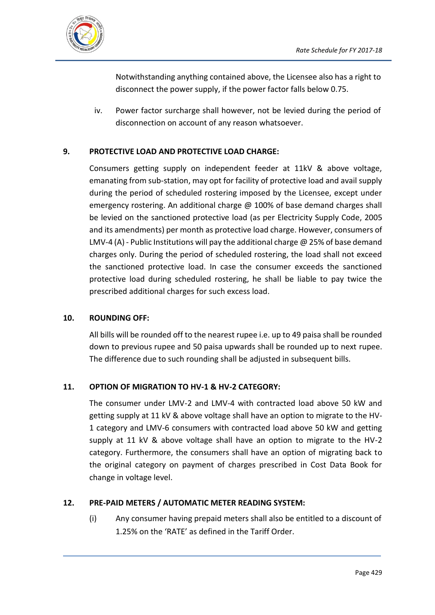

Notwithstanding anything contained above, the Licensee also has a right to disconnect the power supply, if the power factor falls below 0.75.

iv. Power factor surcharge shall however, not be levied during the period of disconnection on account of any reason whatsoever.

## **9. PROTECTIVE LOAD AND PROTECTIVE LOAD CHARGE:**

Consumers getting supply on independent feeder at 11kV & above voltage, emanating from sub-station, may opt for facility of protective load and avail supply during the period of scheduled rostering imposed by the Licensee, except under emergency rostering. An additional charge @ 100% of base demand charges shall be levied on the sanctioned protective load (as per Electricity Supply Code, 2005 and its amendments) per month as protective load charge. However, consumers of LMV-4 (A) - Public Institutions will pay the additional charge  $\omega$  25% of base demand charges only. During the period of scheduled rostering, the load shall not exceed the sanctioned protective load. In case the consumer exceeds the sanctioned protective load during scheduled rostering, he shall be liable to pay twice the prescribed additional charges for such excess load.

#### **10. ROUNDING OFF:**

All bills will be rounded off to the nearest rupee i.e. up to 49 paisa shall be rounded down to previous rupee and 50 paisa upwards shall be rounded up to next rupee. The difference due to such rounding shall be adjusted in subsequent bills.

## **11. OPTION OF MIGRATION TO HV-1 & HV-2 CATEGORY:**

The consumer under LMV-2 and LMV-4 with contracted load above 50 kW and getting supply at 11 kV & above voltage shall have an option to migrate to the HV-1 category and LMV-6 consumers with contracted load above 50 kW and getting supply at 11 kV & above voltage shall have an option to migrate to the HV-2 category. Furthermore, the consumers shall have an option of migrating back to the original category on payment of charges prescribed in Cost Data Book for change in voltage level.

## **12. PRE-PAID METERS / AUTOMATIC METER READING SYSTEM:**

(i) Any consumer having prepaid meters shall also be entitled to a discount of 1.25% on the 'RATE' as defined in the Tariff Order.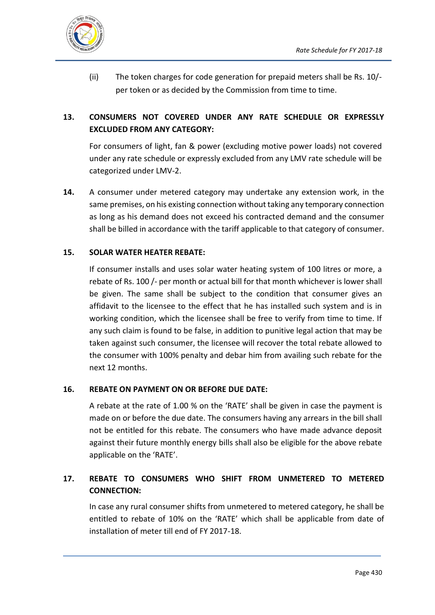

(ii) The token charges for code generation for prepaid meters shall be Rs. 10/ per token or as decided by the Commission from time to time.

## **13. CONSUMERS NOT COVERED UNDER ANY RATE SCHEDULE OR EXPRESSLY EXCLUDED FROM ANY CATEGORY:**

For consumers of light, fan & power (excluding motive power loads) not covered under any rate schedule or expressly excluded from any LMV rate schedule will be categorized under LMV-2.

**14.** A consumer under metered category may undertake any extension work, in the same premises, on his existing connection without taking any temporary connection as long as his demand does not exceed his contracted demand and the consumer shall be billed in accordance with the tariff applicable to that category of consumer.

## **15. SOLAR WATER HEATER REBATE:**

If consumer installs and uses solar water heating system of 100 litres or more, a rebate of Rs. 100 /- per month or actual bill for that month whichever is lower shall be given. The same shall be subject to the condition that consumer gives an affidavit to the licensee to the effect that he has installed such system and is in working condition, which the licensee shall be free to verify from time to time. If any such claim is found to be false, in addition to punitive legal action that may be taken against such consumer, the licensee will recover the total rebate allowed to the consumer with 100% penalty and debar him from availing such rebate for the next 12 months.

## **16. REBATE ON PAYMENT ON OR BEFORE DUE DATE:**

A rebate at the rate of 1.00 % on the 'RATE' shall be given in case the payment is made on or before the due date. The consumers having any arrears in the bill shall not be entitled for this rebate. The consumers who have made advance deposit against their future monthly energy bills shall also be eligible for the above rebate applicable on the 'RATE'.

## **17. REBATE TO CONSUMERS WHO SHIFT FROM UNMETERED TO METERED CONNECTION:**

In case any rural consumer shifts from unmetered to metered category, he shall be entitled to rebate of 10% on the 'RATE' which shall be applicable from date of installation of meter till end of FY 2017-18.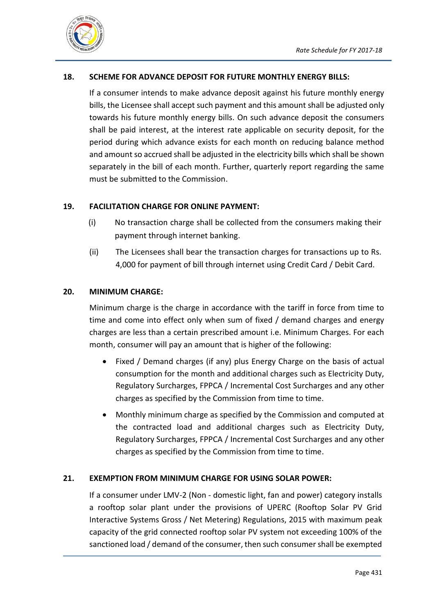

## **18. SCHEME FOR ADVANCE DEPOSIT FOR FUTURE MONTHLY ENERGY BILLS:**

If a consumer intends to make advance deposit against his future monthly energy bills, the Licensee shall accept such payment and this amount shall be adjusted only towards his future monthly energy bills. On such advance deposit the consumers shall be paid interest, at the interest rate applicable on security deposit, for the period during which advance exists for each month on reducing balance method and amount so accrued shall be adjusted in the electricity bills which shall be shown separately in the bill of each month. Further, quarterly report regarding the same must be submitted to the Commission.

## **19. FACILITATION CHARGE FOR ONLINE PAYMENT:**

- (i) No transaction charge shall be collected from the consumers making their payment through internet banking.
- (ii) The Licensees shall bear the transaction charges for transactions up to Rs. 4,000 for payment of bill through internet using Credit Card / Debit Card.

#### **20. MINIMUM CHARGE:**

Minimum charge is the charge in accordance with the tariff in force from time to time and come into effect only when sum of fixed / demand charges and energy charges are less than a certain prescribed amount i.e. Minimum Charges. For each month, consumer will pay an amount that is higher of the following:

- Fixed / Demand charges (if any) plus Energy Charge on the basis of actual consumption for the month and additional charges such as Electricity Duty, Regulatory Surcharges, FPPCA / Incremental Cost Surcharges and any other charges as specified by the Commission from time to time.
- Monthly minimum charge as specified by the Commission and computed at the contracted load and additional charges such as Electricity Duty, Regulatory Surcharges, FPPCA / Incremental Cost Surcharges and any other charges as specified by the Commission from time to time.

## **21. EXEMPTION FROM MINIMUM CHARGE FOR USING SOLAR POWER:**

If a consumer under LMV-2 (Non - domestic light, fan and power) category installs a rooftop solar plant under the provisions of UPERC (Rooftop Solar PV Grid Interactive Systems Gross / Net Metering) Regulations, 2015 with maximum peak capacity of the grid connected rooftop solar PV system not exceeding 100% of the sanctioned load / demand of the consumer, then such consumer shall be exempted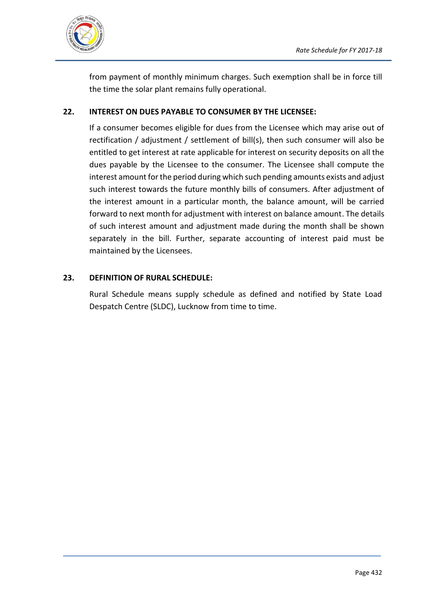

from payment of monthly minimum charges. Such exemption shall be in force till the time the solar plant remains fully operational.

## **22. INTEREST ON DUES PAYABLE TO CONSUMER BY THE LICENSEE:**

If a consumer becomes eligible for dues from the Licensee which may arise out of rectification / adjustment / settlement of bill(s), then such consumer will also be entitled to get interest at rate applicable for interest on security deposits on all the dues payable by the Licensee to the consumer. The Licensee shall compute the interest amount for the period during which such pending amounts exists and adjust such interest towards the future monthly bills of consumers. After adjustment of the interest amount in a particular month, the balance amount, will be carried forward to next month for adjustment with interest on balance amount. The details of such interest amount and adjustment made during the month shall be shown separately in the bill. Further, separate accounting of interest paid must be maintained by the Licensees.

## **23. DEFINITION OF RURAL SCHEDULE:**

Rural Schedule means supply schedule as defined and notified by State Load Despatch Centre (SLDC), Lucknow from time to time.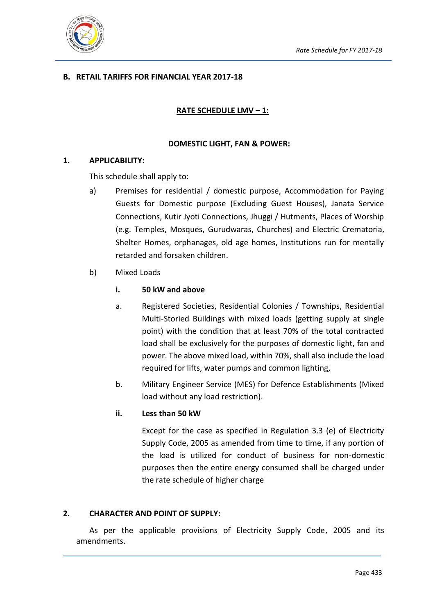

## **B. RETAIL TARIFFS FOR FINANCIAL YEAR 2017-18**

## **RATE SCHEDULE LMV – 1:**

#### **DOMESTIC LIGHT, FAN & POWER:**

#### **1. APPLICABILITY:**

This schedule shall apply to:

- a) Premises for residential / domestic purpose, Accommodation for Paying Guests for Domestic purpose (Excluding Guest Houses), Janata Service Connections, Kutir Jyoti Connections, Jhuggi / Hutments, Places of Worship (e.g. Temples, Mosques, Gurudwaras, Churches) and Electric Crematoria, Shelter Homes, orphanages, old age homes, Institutions run for mentally retarded and forsaken children.
- b) Mixed Loads

#### **i. 50 kW and above**

- a. Registered Societies, Residential Colonies / Townships, Residential Multi-Storied Buildings with mixed loads (getting supply at single point) with the condition that at least 70% of the total contracted load shall be exclusively for the purposes of domestic light, fan and power. The above mixed load, within 70%, shall also include the load required for lifts, water pumps and common lighting,
- b. Military Engineer Service (MES) for Defence Establishments (Mixed load without any load restriction).

#### **ii. Less than 50 kW**

Except for the case as specified in Regulation 3.3 (e) of Electricity Supply Code, 2005 as amended from time to time, if any portion of the load is utilized for conduct of business for non-domestic purposes then the entire energy consumed shall be charged under the rate schedule of higher charge

## **2. CHARACTER AND POINT OF SUPPLY:**

As per the applicable provisions of Electricity Supply Code, 2005 and its amendments.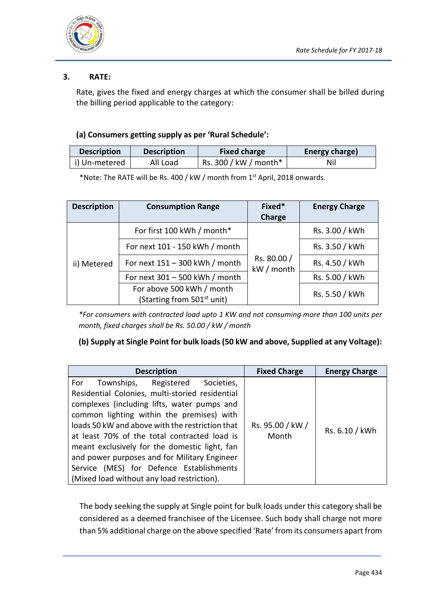

## **3. RATE:**

Rate, gives the fixed and energy charges at which the consumer shall be billed during the billing period applicable to the category:

### **(a) Consumers getting supply as per 'Rural Schedule':**

| <b>Description</b> | <b>Description</b> | <b>Fixed charge</b>   | Energy charge) |
|--------------------|--------------------|-----------------------|----------------|
| i) Un-metered      | All Load           | Rs. 300 / kW / month* | Nil            |

\*Note: The RATE will be Rs. 400 / kW / month from 1st April, 2018 onwards.

| <b>Description</b> | Fixed*<br><b>Consumption Range</b><br>Charge                        |  | <b>Energy Charge</b> |
|--------------------|---------------------------------------------------------------------|--|----------------------|
|                    | For first 100 kWh / month*                                          |  |                      |
|                    | For next 101 - 150 kWh / month                                      |  | Rs. 3.50 / kWh       |
| ii) Metered        | Rs. 80.00 /<br>For next $151 - 300$ kWh / month<br>kW / month       |  | Rs. 4.50 / kWh       |
|                    | For next 301 - 500 kWh / month                                      |  | Rs. 5.00 / kWh       |
|                    | For above 500 kWh / month<br>(Starting from 501 <sup>st</sup> unit) |  | Rs. 5.50 / kWh       |

*\*For consumers with contracted load upto 1 KW and not consuming more than 100 units per month, fixed charges shall be Rs. 50.00 / kW / month*

## **(b) Supply at Single Point for bulk loads (50 kW and above, Supplied at any Voltage):**

| <b>Description</b>                                                                                                                                                                                                                                                                                                                                                                                                                                                                      | <b>Fixed Charge</b>       | <b>Energy Charge</b> |
|-----------------------------------------------------------------------------------------------------------------------------------------------------------------------------------------------------------------------------------------------------------------------------------------------------------------------------------------------------------------------------------------------------------------------------------------------------------------------------------------|---------------------------|----------------------|
| Townships, Registered<br>For<br>Societies,<br>Residential Colonies, multi-storied residential<br>complexes (including lifts, water pumps and<br>common lighting within the premises) with<br>loads 50 kW and above with the restriction that<br>at least 70% of the total contracted load is<br>meant exclusively for the domestic light, fan<br>and power purposes and for Military Engineer<br>Service (MES) for Defence Establishments<br>(Mixed load without any load restriction). | Rs. 95.00 / kW /<br>Month | Rs. 6.10 / kWh       |

The body seeking the supply at Single point for bulk loads under this category shall be considered as a deemed franchisee of the Licensee. Such body shall charge not more than 5% additional charge on the above specified 'Rate' from its consumers apart from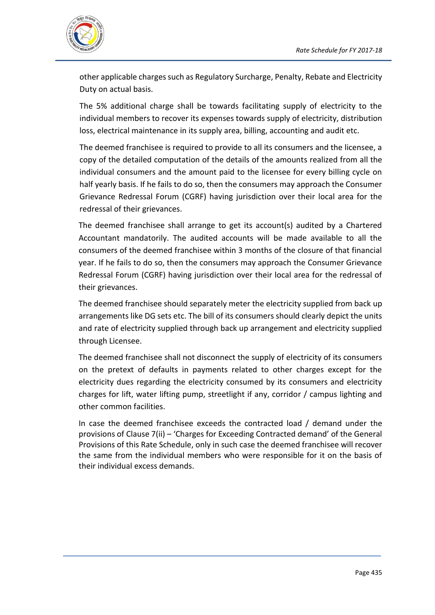

other applicable charges such as Regulatory Surcharge, Penalty, Rebate and Electricity Duty on actual basis.

The 5% additional charge shall be towards facilitating supply of electricity to the individual members to recover its expenses towards supply of electricity, distribution loss, electrical maintenance in its supply area, billing, accounting and audit etc.

The deemed franchisee is required to provide to all its consumers and the licensee, a copy of the detailed computation of the details of the amounts realized from all the individual consumers and the amount paid to the licensee for every billing cycle on half yearly basis. If he fails to do so, then the consumers may approach the Consumer Grievance Redressal Forum (CGRF) having jurisdiction over their local area for the redressal of their grievances.

The deemed franchisee shall arrange to get its account(s) audited by a Chartered Accountant mandatorily. The audited accounts will be made available to all the consumers of the deemed franchisee within 3 months of the closure of that financial year. If he fails to do so, then the consumers may approach the Consumer Grievance Redressal Forum (CGRF) having jurisdiction over their local area for the redressal of their grievances.

The deemed franchisee should separately meter the electricity supplied from back up arrangements like DG sets etc. The bill of its consumers should clearly depict the units and rate of electricity supplied through back up arrangement and electricity supplied through Licensee.

The deemed franchisee shall not disconnect the supply of electricity of its consumers on the pretext of defaults in payments related to other charges except for the electricity dues regarding the electricity consumed by its consumers and electricity charges for lift, water lifting pump, streetlight if any, corridor / campus lighting and other common facilities.

In case the deemed franchisee exceeds the contracted load / demand under the provisions of Clause 7(ii) – 'Charges for Exceeding Contracted demand' of the General Provisions of this Rate Schedule, only in such case the deemed franchisee will recover the same from the individual members who were responsible for it on the basis of their individual excess demands.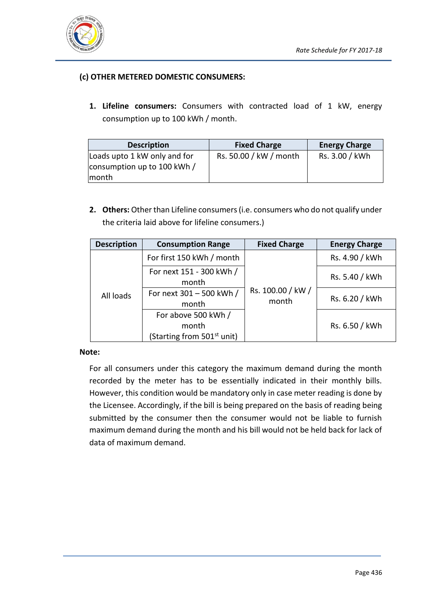

## **(c) OTHER METERED DOMESTIC CONSUMERS:**

**1. Lifeline consumers:** Consumers with contracted load of 1 kW, energy consumption up to 100 kWh / month.

| <b>Description</b>           | <b>Fixed Charge</b>    | <b>Energy Charge</b> |  |
|------------------------------|------------------------|----------------------|--|
| Loads upto 1 kW only and for | Rs. 50.00 / kW / month | Rs. 3.00 / kWh       |  |
| consumption up to 100 kWh /  |                        |                      |  |
| month                        |                        |                      |  |

**2. Others:** Other than Lifeline consumers (i.e. consumers who do not qualify under the criteria laid above for lifeline consumers.)

| <b>Description</b> | <b>Consumption Range</b>                                               | <b>Fixed Charge</b>        | <b>Energy Charge</b> |
|--------------------|------------------------------------------------------------------------|----------------------------|----------------------|
|                    | For first 150 kWh / month                                              |                            | Rs. 4.90 / kWh       |
|                    | For next 151 - 300 kWh /<br>month                                      |                            | Rs. 5.40 / kWh       |
| All loads          | For next 301 - 500 kWh /<br>month                                      | Rs. 100.00 / kW /<br>month | Rs. 6.20 / kWh       |
|                    | For above 500 kWh /<br>month<br>(Starting from 501 <sup>st</sup> unit) |                            | Rs. 6.50 / kWh       |

#### **Note:**

For all consumers under this category the maximum demand during the month recorded by the meter has to be essentially indicated in their monthly bills. However, this condition would be mandatory only in case meter reading is done by the Licensee. Accordingly, if the bill is being prepared on the basis of reading being submitted by the consumer then the consumer would not be liable to furnish maximum demand during the month and his bill would not be held back for lack of data of maximum demand.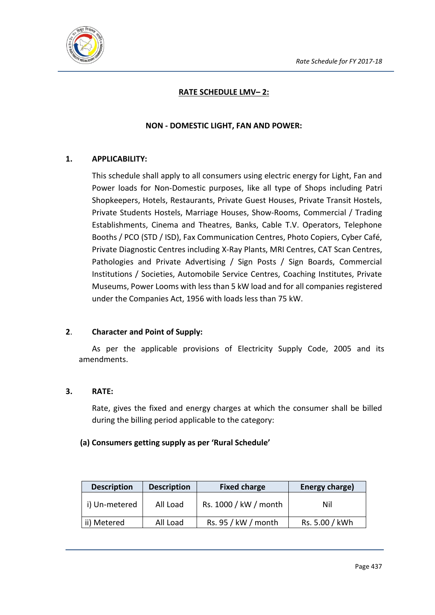

## **RATE SCHEDULE LMV– 2:**

## **NON - DOMESTIC LIGHT, FAN AND POWER:**

## **1. APPLICABILITY:**

This schedule shall apply to all consumers using electric energy for Light, Fan and Power loads for Non-Domestic purposes, like all type of Shops including Patri Shopkeepers, Hotels, Restaurants, Private Guest Houses, Private Transit Hostels, Private Students Hostels, Marriage Houses, Show-Rooms, Commercial / Trading Establishments, Cinema and Theatres, Banks, Cable T.V. Operators, Telephone Booths / PCO (STD / ISD), Fax Communication Centres, Photo Copiers, Cyber Café, Private Diagnostic Centres including X-Ray Plants, MRI Centres, CAT Scan Centres, Pathologies and Private Advertising / Sign Posts / Sign Boards, Commercial Institutions / Societies, Automobile Service Centres, Coaching Institutes, Private Museums, Power Looms with less than 5 kW load and for all companies registered under the Companies Act, 1956 with loads less than 75 kW.

## **2**. **Character and Point of Supply:**

As per the applicable provisions of Electricity Supply Code, 2005 and its amendments.

#### **3. RATE:**

Rate, gives the fixed and energy charges at which the consumer shall be billed during the billing period applicable to the category:

#### **(a) Consumers getting supply as per 'Rural Schedule'**

| <b>Description</b> | <b>Description</b> | <b>Fixed charge</b>   | Energy charge) |
|--------------------|--------------------|-----------------------|----------------|
| i) Un-metered      | All Load           | Rs. 1000 / kW / month | Nil            |
| ii) Metered        | All Load           | Rs. 95 / kW / month   | Rs. 5.00 / kWh |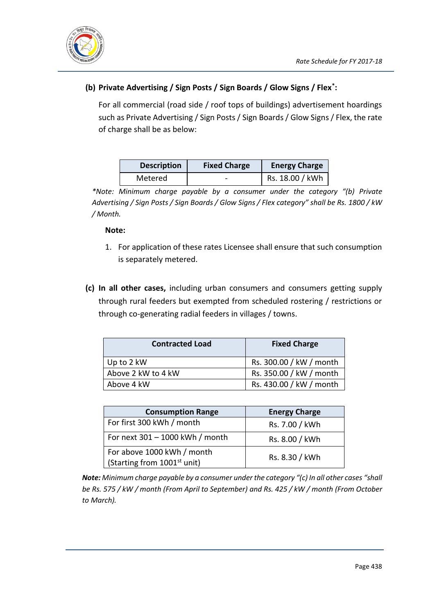

## **(b) Private Advertising / Sign Posts / Sign Boards / Glow Signs / Flex\* :**

For all commercial (road side / roof tops of buildings) advertisement hoardings such as Private Advertising / Sign Posts / Sign Boards / Glow Signs / Flex, the rate of charge shall be as below:

| <b>Description</b> | <b>Fixed Charge</b> | <b>Energy Charge</b> |
|--------------------|---------------------|----------------------|
| Metered            | -                   | Rs. 18.00 / kWh      |

*\*Note: Minimum charge payable by a consumer under the category "(b) Private Advertising / Sign Posts / Sign Boards / Glow Signs / Flex category" shall be Rs. 1800 / kW / Month.*

## **Note:**

- 1. For application of these rates Licensee shall ensure that such consumption is separately metered.
- **(c) In all other cases,** including urban consumers and consumers getting supply through rural feeders but exempted from scheduled rostering / restrictions or through co-generating radial feeders in villages / towns.

| <b>Contracted Load</b> | <b>Fixed Charge</b>     |
|------------------------|-------------------------|
| Up to 2 kW             | Rs. 300.00 / kW / month |
| Above 2 kW to 4 kW     | Rs. 350.00 / kW / month |
| Above 4 kW             | Rs. 430.00 / kW / month |

| <b>Consumption Range</b>                                              | <b>Energy Charge</b> |
|-----------------------------------------------------------------------|----------------------|
| For first 300 kWh / month                                             | Rs. 7.00 / kWh       |
| For next 301 - 1000 kWh / month                                       | Rs. 8.00 / kWh       |
| For above 1000 kWh / month<br>(Starting from 1001 <sup>st</sup> unit) | Rs. 8.30 / kWh       |

*Note: Minimum charge payable by a consumer under the category "(c) In all other cases "shall be Rs. 575 / kW / month (From April to September) and Rs. 425 / kW / month (From October to March).*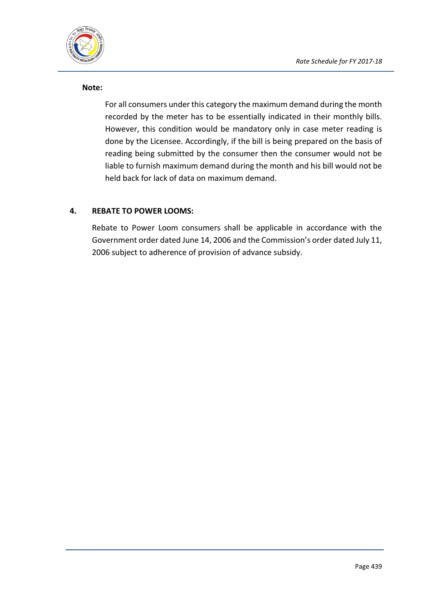

#### **Note:**

For all consumers under this category the maximum demand during the month recorded by the meter has to be essentially indicated in their monthly bills. However, this condition would be mandatory only in case meter reading is done by the Licensee. Accordingly, if the bill is being prepared on the basis of reading being submitted by the consumer then the consumer would not be liable to furnish maximum demand during the month and his bill would not be held back for lack of data on maximum demand.

## **4. REBATE TO POWER LOOMS:**

Rebate to Power Loom consumers shall be applicable in accordance with the Government order dated June 14, 2006 and the Commission's order dated July 11, 2006 subject to adherence of provision of advance subsidy.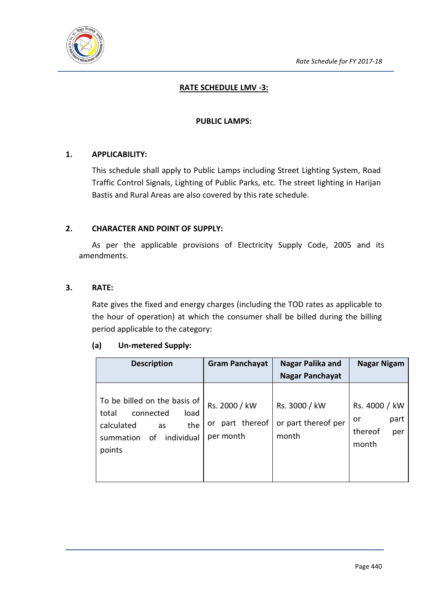

## **RATE SCHEDULE LMV -3:**

#### **PUBLIC LAMPS:**

## **1. APPLICABILITY:**

This schedule shall apply to Public Lamps including Street Lighting System, Road Traffic Control Signals, Lighting of Public Parks, etc. The street lighting in Harijan Bastis and Rural Areas are also covered by this rate schedule.

#### **2. CHARACTER AND POINT OF SUPPLY:**

As per the applicable provisions of Electricity Supply Code, 2005 and its amendments.

#### **3. RATE:**

Rate gives the fixed and energy charges (including the TOD rates as applicable to the hour of operation) at which the consumer shall be billed during the billing period applicable to the category:

#### **(a) Un-metered Supply:**

| <b>Description</b>                                                                                                               | <b>Gram Panchayat</b>                            | Nagar Palika and                              | Nagar Nigam                                            |
|----------------------------------------------------------------------------------------------------------------------------------|--------------------------------------------------|-----------------------------------------------|--------------------------------------------------------|
|                                                                                                                                  |                                                  | <b>Nagar Panchayat</b>                        |                                                        |
| To be billed on the basis of<br>connected<br>total<br>load<br>calculated<br>the<br>as<br>individual<br>summation<br>οf<br>points | Rs. 2000 / kW<br>part thereof<br>or<br>per month | Rs. 3000 / kW<br>or part thereof per<br>month | Rs. 4000 / kW<br>part<br>or<br>thereof<br>per<br>month |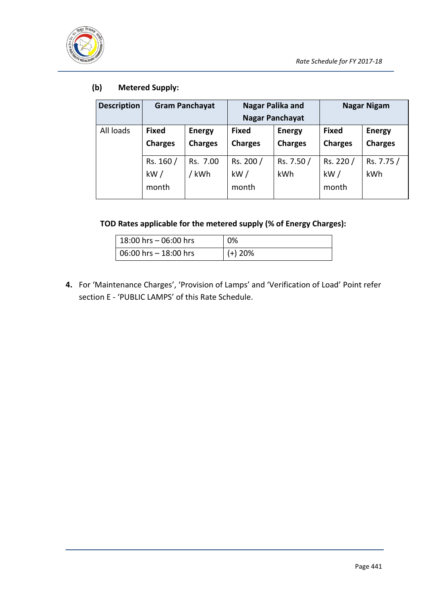

## **(b) Metered Supply:**

| <b>Description</b> | <b>Gram Panchayat</b>          |                                 | Nagar Palika and<br><b>Nagar Panchayat</b> |                                 | <b>Nagar Nigam</b>             |                                 |
|--------------------|--------------------------------|---------------------------------|--------------------------------------------|---------------------------------|--------------------------------|---------------------------------|
| All loads          | <b>Fixed</b><br><b>Charges</b> | <b>Energy</b><br><b>Charges</b> | <b>Fixed</b><br><b>Charges</b>             | <b>Energy</b><br><b>Charges</b> | <b>Fixed</b><br><b>Charges</b> | <b>Energy</b><br><b>Charges</b> |
|                    | Rs. 160 /<br>kW/<br>month      | Rs. 7.00<br>kWh                 | Rs. 200 /<br>kW/<br>month                  | Rs. 7.50 /<br><b>kWh</b>        | Rs. 220 /<br>kW/<br>month      | Rs. 7.75 /<br>kWh               |

## **TOD Rates applicable for the metered supply (% of Energy Charges):**

| $18:00$ hrs $-06:00$ hrs        | 0%        |
|---------------------------------|-----------|
| $\vert$ 06:00 hrs $-$ 18:00 hrs | $(+)$ 20% |

**4.** For 'Maintenance Charges', 'Provision of Lamps' and 'Verification of Load' Point refer section E - 'PUBLIC LAMPS' of this Rate Schedule.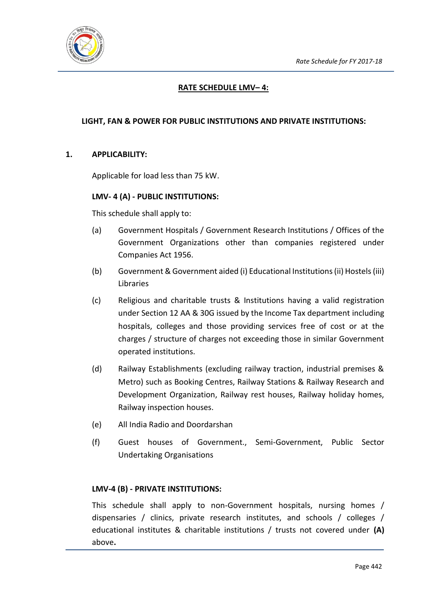

## **RATE SCHEDULE LMV– 4:**

## **LIGHT, FAN & POWER FOR PUBLIC INSTITUTIONS AND PRIVATE INSTITUTIONS:**

## **1. APPLICABILITY:**

Applicable for load less than 75 kW.

#### **LMV- 4 (A) - PUBLIC INSTITUTIONS:**

This schedule shall apply to:

- (a) Government Hospitals / Government Research Institutions / Offices of the Government Organizations other than companies registered under Companies Act 1956.
- (b) Government & Government aided (i) Educational Institutions (ii) Hostels (iii) Libraries
- (c) Religious and charitable trusts & Institutions having a valid registration under Section 12 AA & 30G issued by the Income Tax department including hospitals, colleges and those providing services free of cost or at the charges / structure of charges not exceeding those in similar Government operated institutions.
- (d) Railway Establishments (excluding railway traction, industrial premises & Metro) such as Booking Centres, Railway Stations & Railway Research and Development Organization, Railway rest houses, Railway holiday homes, Railway inspection houses.
- (e) All India Radio and Doordarshan
- (f) Guest houses of Government., Semi-Government, Public Sector Undertaking Organisations

#### **LMV-4 (B) - PRIVATE INSTITUTIONS:**

This schedule shall apply to non-Government hospitals, nursing homes / dispensaries / clinics, private research institutes, and schools / colleges / educational institutes & charitable institutions / trusts not covered under **(A)** above**.**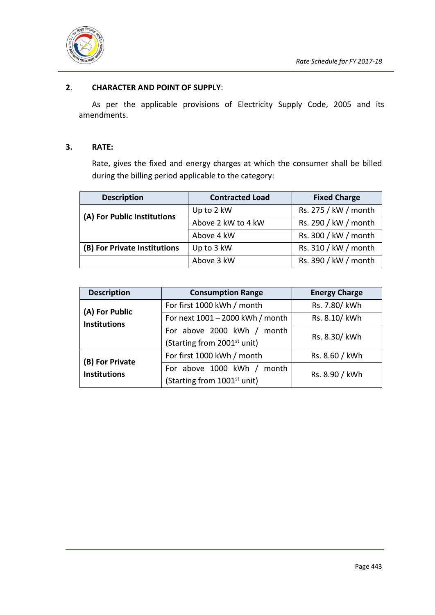

### **2**. **CHARACTER AND POINT OF SUPPLY**:

As per the applicable provisions of Electricity Supply Code, 2005 and its amendments.

#### **3. RATE:**

Rate, gives the fixed and energy charges at which the consumer shall be billed during the billing period applicable to the category:

| <b>Description</b>           | <b>Contracted Load</b> | <b>Fixed Charge</b>  |
|------------------------------|------------------------|----------------------|
| (A) For Public Institutions  | Up to 2 kW             | Rs. 275 / kW / month |
|                              | Above 2 kW to 4 kW     | Rs. 290 / kW / month |
|                              | Above 4 kW             | Rs. 300 / kW / month |
| (B) For Private Institutions | Up to 3 kW             | Rs. 310 / kW / month |
|                              | Above 3 kW             | Rs. 390 / kW / month |

| <b>Description</b>  | <b>Consumption Range</b>                | <b>Energy Charge</b> |  |
|---------------------|-----------------------------------------|----------------------|--|
| (A) For Public      | For first 1000 kWh / month              | Rs. 7.80/ kWh        |  |
| <b>Institutions</b> | For next 1001 - 2000 kWh / month        | Rs. 8.10/ kWh        |  |
|                     | For above 2000 kWh / month              | Rs. 8.30/ kWh        |  |
|                     | (Starting from 2001 <sup>st</sup> unit) |                      |  |
| (B) For Private     | For first 1000 kWh / month              | Rs. 8.60 / kWh       |  |
| <b>Institutions</b> | For above 1000 kWh / month              | Rs. 8.90 / kWh       |  |
|                     | (Starting from 1001 <sup>st</sup> unit) |                      |  |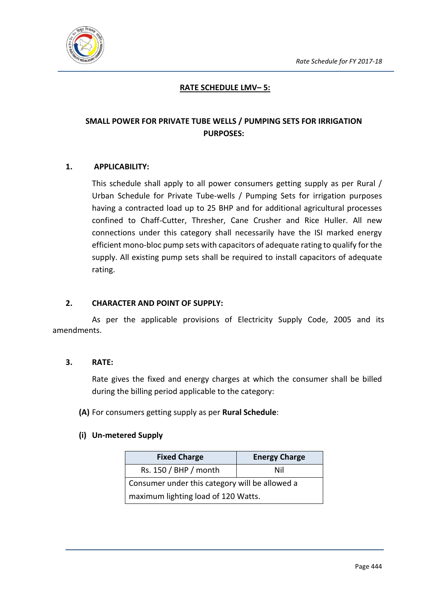

## **RATE SCHEDULE LMV– 5:**

## **SMALL POWER FOR PRIVATE TUBE WELLS / PUMPING SETS FOR IRRIGATION PURPOSES:**

#### **1. APPLICABILITY:**

This schedule shall apply to all power consumers getting supply as per Rural / Urban Schedule for Private Tube-wells / Pumping Sets for irrigation purposes having a contracted load up to 25 BHP and for additional agricultural processes confined to Chaff-Cutter, Thresher, Cane Crusher and Rice Huller. All new connections under this category shall necessarily have the ISI marked energy efficient mono-bloc pump sets with capacitors of adequate rating to qualify for the supply. All existing pump sets shall be required to install capacitors of adequate rating.

#### **2. CHARACTER AND POINT OF SUPPLY:**

As per the applicable provisions of Electricity Supply Code, 2005 and its amendments.

#### **3. RATE:**

Rate gives the fixed and energy charges at which the consumer shall be billed during the billing period applicable to the category:

**(A)** For consumers getting supply as per **Rural Schedule**:

#### **(i) Un-metered Supply**

| <b>Fixed Charge</b>                            | <b>Energy Charge</b> |  |
|------------------------------------------------|----------------------|--|
| Rs. 150 / BHP / month                          | Nil                  |  |
| Consumer under this category will be allowed a |                      |  |
| maximum lighting load of 120 Watts.            |                      |  |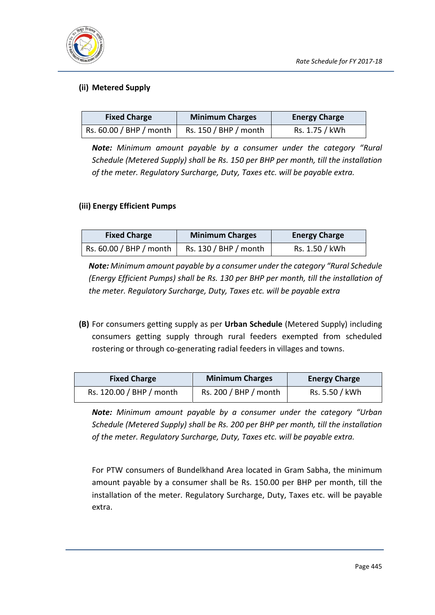

## **(ii) Metered Supply**

| <b>Fixed Charge</b>     | <b>Minimum Charges</b> | <b>Energy Charge</b> |
|-------------------------|------------------------|----------------------|
| Rs. 60.00 / BHP / month | Rs. 150 / BHP / month  | Rs. 1.75 / kWh       |

*Note: Minimum amount payable by a consumer under the category "Rural Schedule (Metered Supply) shall be Rs. 150 per BHP per month, till the installation of the meter. Regulatory Surcharge, Duty, Taxes etc. will be payable extra.*

## **(iii) Energy Efficient Pumps**

| <b>Fixed Charge</b>     | <b>Minimum Charges</b> | <b>Energy Charge</b> |
|-------------------------|------------------------|----------------------|
| Rs. 60.00 / BHP / month | Rs. 130 / BHP / month  | Rs. 1.50 / kWh       |

*Note: Minimum amount payable by a consumer under the category "Rural Schedule (Energy Efficient Pumps) shall be Rs. 130 per BHP per month, till the installation of the meter. Regulatory Surcharge, Duty, Taxes etc. will be payable extra*

**(B)** For consumers getting supply as per **Urban Schedule** (Metered Supply) including consumers getting supply through rural feeders exempted from scheduled rostering or through co-generating radial feeders in villages and towns.

| <b>Fixed Charge</b>      | <b>Minimum Charges</b> | <b>Energy Charge</b> |
|--------------------------|------------------------|----------------------|
| Rs. 120.00 / BHP / month | Rs. 200 / BHP / month  | Rs. 5.50 / kWh       |

*Note: Minimum amount payable by a consumer under the category "Urban Schedule (Metered Supply) shall be Rs. 200 per BHP per month, till the installation of the meter. Regulatory Surcharge, Duty, Taxes etc. will be payable extra.*

For PTW consumers of Bundelkhand Area located in Gram Sabha, the minimum amount payable by a consumer shall be Rs. 150.00 per BHP per month, till the installation of the meter. Regulatory Surcharge, Duty, Taxes etc. will be payable extra.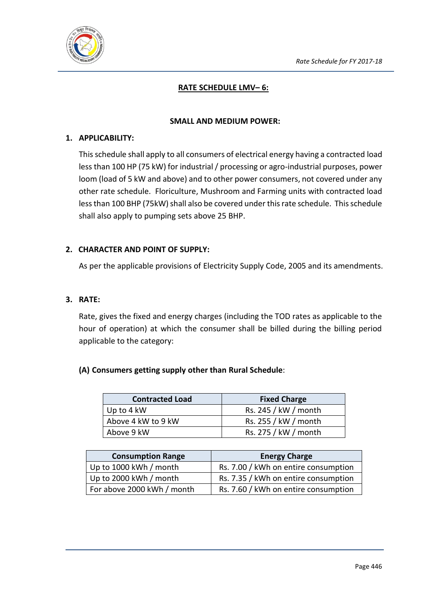

## **RATE SCHEDULE LMV– 6:**

#### **SMALL AND MEDIUM POWER:**

#### **1. APPLICABILITY:**

This schedule shall apply to all consumers of electrical energy having a contracted load less than 100 HP (75 kW) for industrial / processing or agro-industrial purposes, power loom (load of 5 kW and above) and to other power consumers, not covered under any other rate schedule. Floriculture, Mushroom and Farming units with contracted load less than 100 BHP (75kW) shall also be covered under this rate schedule. This schedule shall also apply to pumping sets above 25 BHP.

#### **2. CHARACTER AND POINT OF SUPPLY:**

As per the applicable provisions of Electricity Supply Code, 2005 and its amendments.

#### **3. RATE:**

Rate, gives the fixed and energy charges (including the TOD rates as applicable to the hour of operation) at which the consumer shall be billed during the billing period applicable to the category:

## **(A) Consumers getting supply other than Rural Schedule**:

| <b>Contracted Load</b> | <b>Fixed Charge</b>  |
|------------------------|----------------------|
| Up to 4 kW             | Rs. 245 / kW / month |
| Above 4 kW to 9 kW     | Rs. 255 / kW / month |
| Above 9 kW             | Rs. 275 / kW / month |

| <b>Consumption Range</b>   | <b>Energy Charge</b>                 |
|----------------------------|--------------------------------------|
| Up to 1000 kWh / month     | Rs. 7.00 / kWh on entire consumption |
| Up to 2000 kWh / month     | Rs. 7.35 / kWh on entire consumption |
| For above 2000 kWh / month | Rs. 7.60 / kWh on entire consumption |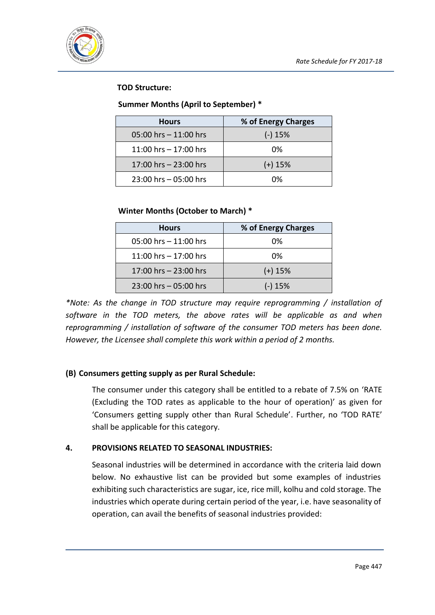

## **TOD Structure:**

### **Summer Months (April to September) \***

| <b>Hours</b>             | % of Energy Charges |
|--------------------------|---------------------|
| $05:00$ hrs $-11:00$ hrs | $(-)$ 15%           |
| 11:00 hrs $-$ 17:00 hrs  | 0%                  |
| 17:00 hrs - 23:00 hrs    | $(+)$ 15%           |
| 23:00 hrs - 05:00 hrs    | በ%                  |

#### **Winter Months (October to March) \***

| <b>Hours</b>             | % of Energy Charges |
|--------------------------|---------------------|
| $05:00$ hrs $-11:00$ hrs | 0%                  |
| 11:00 hrs $-$ 17:00 hrs  | 0%                  |
| 17:00 hrs - 23:00 hrs    | $(+)$ 15%           |
| 23:00 hrs - 05:00 hrs    | $(-)$ 15%           |

*\*Note: As the change in TOD structure may require reprogramming / installation of software in the TOD meters, the above rates will be applicable as and when reprogramming / installation of software of the consumer TOD meters has been done. However, the Licensee shall complete this work within a period of 2 months.*

## **(B) Consumers getting supply as per Rural Schedule:**

The consumer under this category shall be entitled to a rebate of 7.5% on 'RATE (Excluding the TOD rates as applicable to the hour of operation)' as given for 'Consumers getting supply other than Rural Schedule'. Further, no 'TOD RATE' shall be applicable for this category.

## **4. PROVISIONS RELATED TO SEASONAL INDUSTRIES:**

Seasonal industries will be determined in accordance with the criteria laid down below. No exhaustive list can be provided but some examples of industries exhibiting such characteristics are sugar, ice, rice mill, kolhu and cold storage. The industries which operate during certain period of the year, i.e. have seasonality of operation, can avail the benefits of seasonal industries provided: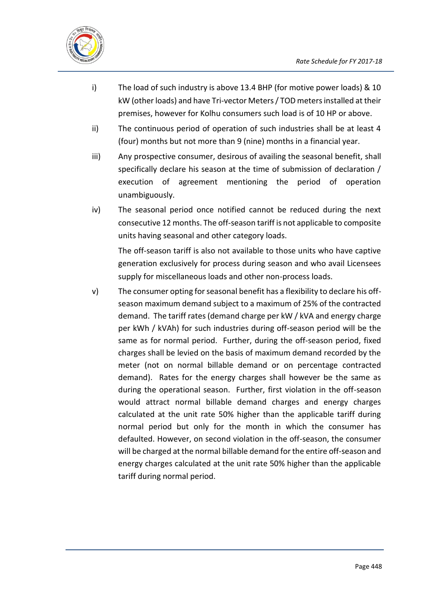

- i) The load of such industry is above 13.4 BHP (for motive power loads) & 10 kW (other loads) and have Tri-vector Meters / TOD meters installed at their premises, however for Kolhu consumers such load is of 10 HP or above.
- ii) The continuous period of operation of such industries shall be at least 4 (four) months but not more than 9 (nine) months in a financial year.
- iii) Any prospective consumer, desirous of availing the seasonal benefit, shall specifically declare his season at the time of submission of declaration / execution of agreement mentioning the period of operation unambiguously.
- iv) The seasonal period once notified cannot be reduced during the next consecutive 12 months. The off-season tariff is not applicable to composite units having seasonal and other category loads.

The off-season tariff is also not available to those units who have captive generation exclusively for process during season and who avail Licensees supply for miscellaneous loads and other non-process loads.

v) The consumer opting for seasonal benefit has a flexibility to declare his offseason maximum demand subject to a maximum of 25% of the contracted demand. The tariff rates (demand charge per kW / kVA and energy charge per kWh / kVAh) for such industries during off-season period will be the same as for normal period. Further, during the off-season period, fixed charges shall be levied on the basis of maximum demand recorded by the meter (not on normal billable demand or on percentage contracted demand). Rates for the energy charges shall however be the same as during the operational season. Further, first violation in the off-season would attract normal billable demand charges and energy charges calculated at the unit rate 50% higher than the applicable tariff during normal period but only for the month in which the consumer has defaulted. However, on second violation in the off-season, the consumer will be charged at the normal billable demand for the entire off-season and energy charges calculated at the unit rate 50% higher than the applicable tariff during normal period.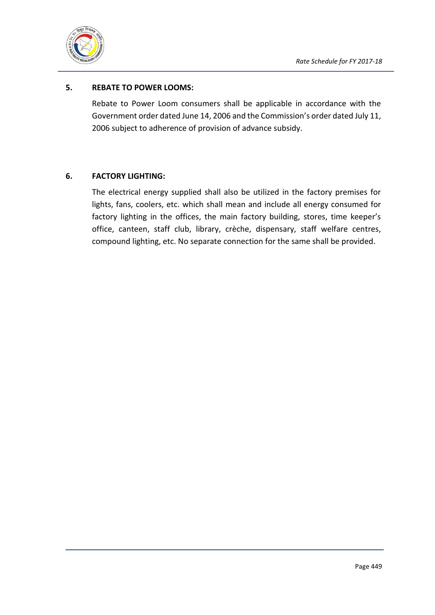

## **5. REBATE TO POWER LOOMS:**

Rebate to Power Loom consumers shall be applicable in accordance with the Government order dated June 14, 2006 and the Commission's order dated July 11, 2006 subject to adherence of provision of advance subsidy.

#### **6. FACTORY LIGHTING:**

The electrical energy supplied shall also be utilized in the factory premises for lights, fans, coolers, etc. which shall mean and include all energy consumed for factory lighting in the offices, the main factory building, stores, time keeper's office, canteen, staff club, library, crèche, dispensary, staff welfare centres, compound lighting, etc. No separate connection for the same shall be provided.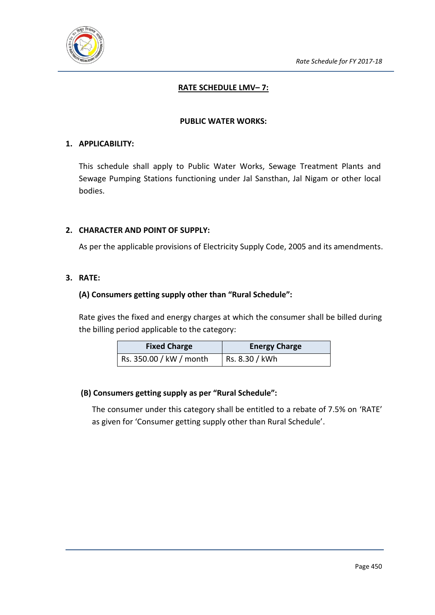

## **RATE SCHEDULE LMV– 7:**

#### **PUBLIC WATER WORKS:**

#### **1. APPLICABILITY:**

This schedule shall apply to Public Water Works, Sewage Treatment Plants and Sewage Pumping Stations functioning under Jal Sansthan, Jal Nigam or other local bodies.

#### **2. CHARACTER AND POINT OF SUPPLY:**

As per the applicable provisions of Electricity Supply Code, 2005 and its amendments.

#### **3. RATE:**

#### **(A) Consumers getting supply other than "Rural Schedule":**

Rate gives the fixed and energy charges at which the consumer shall be billed during the billing period applicable to the category:

| <b>Fixed Charge</b>     | <b>Energy Charge</b> |
|-------------------------|----------------------|
| Rs. 350.00 / kW / month | Rs. 8.30 / kWh       |

## **(B) Consumers getting supply as per "Rural Schedule":**

The consumer under this category shall be entitled to a rebate of 7.5% on 'RATE' as given for 'Consumer getting supply other than Rural Schedule'.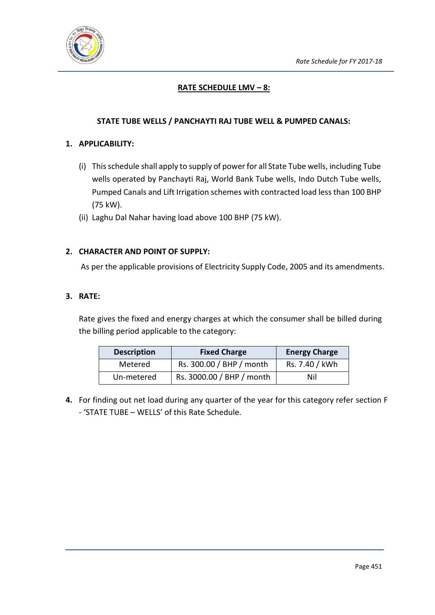

## **RATE SCHEDULE LMV – 8:**

## **STATE TUBE WELLS / PANCHAYTI RAJ TUBE WELL & PUMPED CANALS:**

#### **1. APPLICABILITY:**

- (i) This schedule shall apply to supply of power for all State Tube wells, including Tube wells operated by Panchayti Raj, World Bank Tube wells, Indo Dutch Tube wells, Pumped Canals and Lift Irrigation schemes with contracted load less than 100 BHP (75 kW).
- (ii) Laghu Dal Nahar having load above 100 BHP (75 kW).

#### **2. CHARACTER AND POINT OF SUPPLY:**

As per the applicable provisions of Electricity Supply Code, 2005 and its amendments.

#### **3. RATE:**

Rate gives the fixed and energy charges at which the consumer shall be billed during the billing period applicable to the category:

| <b>Description</b> | <b>Fixed Charge</b>       | <b>Energy Charge</b> |
|--------------------|---------------------------|----------------------|
| Metered            | Rs. 300.00 / BHP / month  | Rs. 7.40 / kWh       |
| Un-metered         | Rs. 3000.00 / BHP / month | Nil                  |

**4.** For finding out net load during any quarter of the year for this category refer section F - 'STATE TUBE – WELLS' of this Rate Schedule.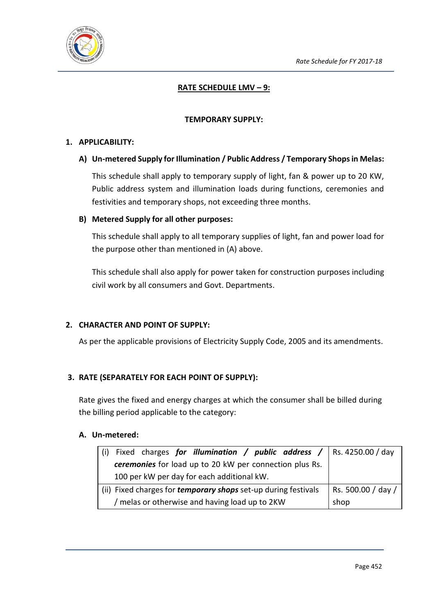

## **RATE SCHEDULE LMV – 9:**

#### **TEMPORARY SUPPLY:**

#### **1. APPLICABILITY:**

#### **A) Un-metered Supply for Illumination / Public Address / Temporary Shops in Melas:**

This schedule shall apply to temporary supply of light, fan & power up to 20 KW, Public address system and illumination loads during functions, ceremonies and festivities and temporary shops, not exceeding three months.

#### **B) Metered Supply for all other purposes:**

This schedule shall apply to all temporary supplies of light, fan and power load for the purpose other than mentioned in (A) above.

This schedule shall also apply for power taken for construction purposes including civil work by all consumers and Govt. Departments.

## **2. CHARACTER AND POINT OF SUPPLY:**

As per the applicable provisions of Electricity Supply Code, 2005 and its amendments.

## **3. RATE (SEPARATELY FOR EACH POINT OF SUPPLY):**

Rate gives the fixed and energy charges at which the consumer shall be billed during the billing period applicable to the category:

## **A. Un-metered:**

| Fixed charges for illumination / public address /   Rs. 4250.00 / day |                    |  |  |
|-----------------------------------------------------------------------|--------------------|--|--|
| ceremonies for load up to 20 kW per connection plus Rs.               |                    |  |  |
| 100 per kW per day for each additional kW.                            |                    |  |  |
| (ii) Fixed charges for <i>temporary shops</i> set-up during festivals | Rs. 500.00 / day / |  |  |
| / melas or otherwise and having load up to 2KW                        | shop               |  |  |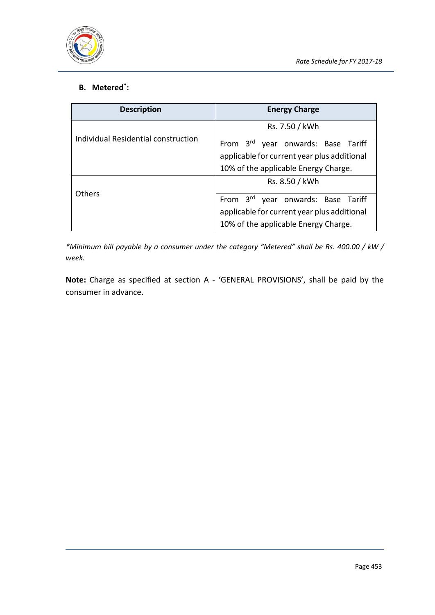

## **B. Metered\* :**

| <b>Description</b>                  | <b>Energy Charge</b>                                                                                                      |
|-------------------------------------|---------------------------------------------------------------------------------------------------------------------------|
|                                     | Rs. 7.50 / kWh                                                                                                            |
| Individual Residential construction | From 3rd year onwards: Base Tariff<br>applicable for current year plus additional<br>10% of the applicable Energy Charge. |
|                                     | Rs. 8.50 / kWh                                                                                                            |
| Others                              | From 3rd year onwards: Base Tariff<br>applicable for current year plus additional<br>10% of the applicable Energy Charge. |

*\*Minimum bill payable by a consumer under the category "Metered" shall be Rs. 400.00 / kW / week.*

**Note:** Charge as specified at section A - 'GENERAL PROVISIONS', shall be paid by the consumer in advance.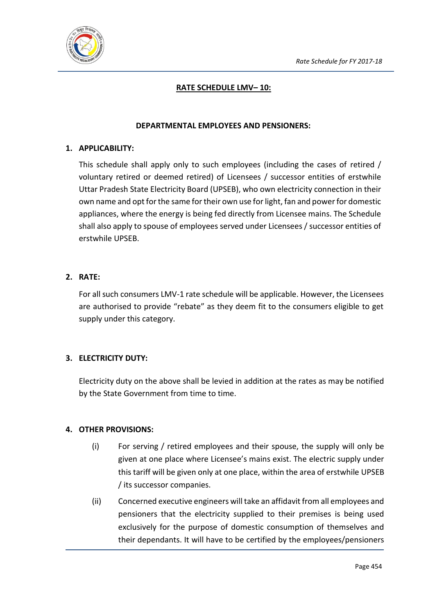

## **RATE SCHEDULE LMV– 10:**

#### **DEPARTMENTAL EMPLOYEES AND PENSIONERS:**

#### **1. APPLICABILITY:**

This schedule shall apply only to such employees (including the cases of retired / voluntary retired or deemed retired) of Licensees / successor entities of erstwhile Uttar Pradesh State Electricity Board (UPSEB), who own electricity connection in their own name and opt for the same for their own use for light, fan and power for domestic appliances, where the energy is being fed directly from Licensee mains. The Schedule shall also apply to spouse of employees served under Licensees / successor entities of erstwhile UPSEB.

#### **2. RATE:**

For all such consumers LMV-1 rate schedule will be applicable. However, the Licensees are authorised to provide "rebate" as they deem fit to the consumers eligible to get supply under this category.

## **3. ELECTRICITY DUTY:**

Electricity duty on the above shall be levied in addition at the rates as may be notified by the State Government from time to time.

## **4. OTHER PROVISIONS:**

- (i) For serving / retired employees and their spouse, the supply will only be given at one place where Licensee's mains exist. The electric supply under this tariff will be given only at one place, within the area of erstwhile UPSEB / its successor companies.
- (ii) Concerned executive engineers will take an affidavit from all employees and pensioners that the electricity supplied to their premises is being used exclusively for the purpose of domestic consumption of themselves and their dependants. It will have to be certified by the employees/pensioners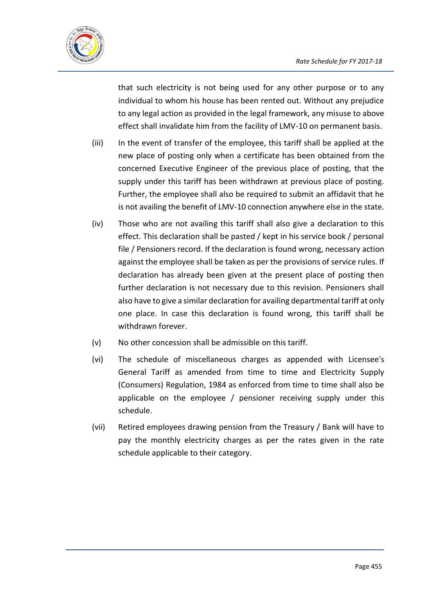

that such electricity is not being used for any other purpose or to any individual to whom his house has been rented out. Without any prejudice to any legal action as provided in the legal framework, any misuse to above effect shall invalidate him from the facility of LMV-10 on permanent basis.

- (iii) In the event of transfer of the employee, this tariff shall be applied at the new place of posting only when a certificate has been obtained from the concerned Executive Engineer of the previous place of posting, that the supply under this tariff has been withdrawn at previous place of posting. Further, the employee shall also be required to submit an affidavit that he is not availing the benefit of LMV-10 connection anywhere else in the state.
- (iv) Those who are not availing this tariff shall also give a declaration to this effect. This declaration shall be pasted / kept in his service book / personal file / Pensioners record. If the declaration is found wrong, necessary action against the employee shall be taken as per the provisions of service rules. If declaration has already been given at the present place of posting then further declaration is not necessary due to this revision. Pensioners shall also have to give a similar declaration for availing departmental tariff at only one place. In case this declaration is found wrong, this tariff shall be withdrawn forever.
- (v) No other concession shall be admissible on this tariff.
- (vi) The schedule of miscellaneous charges as appended with Licensee's General Tariff as amended from time to time and Electricity Supply (Consumers) Regulation, 1984 as enforced from time to time shall also be applicable on the employee / pensioner receiving supply under this schedule.
- (vii) Retired employees drawing pension from the Treasury / Bank will have to pay the monthly electricity charges as per the rates given in the rate schedule applicable to their category.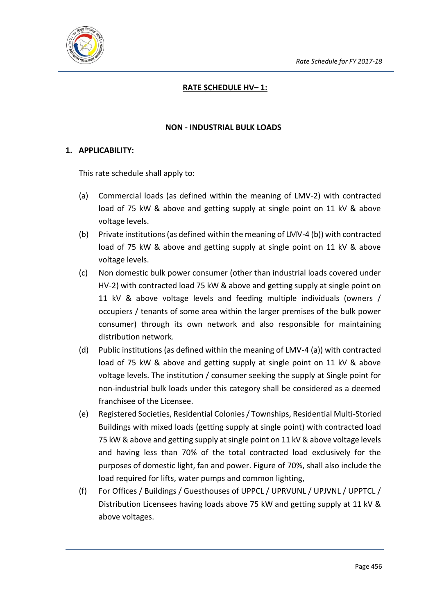

## **RATE SCHEDULE HV– 1:**

#### **NON - INDUSTRIAL BULK LOADS**

#### **1. APPLICABILITY:**

This rate schedule shall apply to:

- (a) Commercial loads (as defined within the meaning of LMV-2) with contracted load of 75 kW & above and getting supply at single point on 11 kV & above voltage levels.
- (b) Private institutions (as defined within the meaning of LMV-4 (b)) with contracted load of 75 kW & above and getting supply at single point on 11 kV & above voltage levels.
- (c) Non domestic bulk power consumer (other than industrial loads covered under HV-2) with contracted load 75 kW & above and getting supply at single point on 11 kV & above voltage levels and feeding multiple individuals (owners / occupiers / tenants of some area within the larger premises of the bulk power consumer) through its own network and also responsible for maintaining distribution network.
- (d) Public institutions (as defined within the meaning of LMV-4 (a)) with contracted load of 75 kW & above and getting supply at single point on 11 kV & above voltage levels. The institution / consumer seeking the supply at Single point for non-industrial bulk loads under this category shall be considered as a deemed franchisee of the Licensee.
- (e) Registered Societies, Residential Colonies / Townships, Residential Multi-Storied Buildings with mixed loads (getting supply at single point) with contracted load 75 kW & above and getting supply at single point on 11 kV & above voltage levels and having less than 70% of the total contracted load exclusively for the purposes of domestic light, fan and power. Figure of 70%, shall also include the load required for lifts, water pumps and common lighting,
- (f) For Offices / Buildings / Guesthouses of UPPCL / UPRVUNL / UPJVNL / UPPTCL / Distribution Licensees having loads above 75 kW and getting supply at 11 kV & above voltages.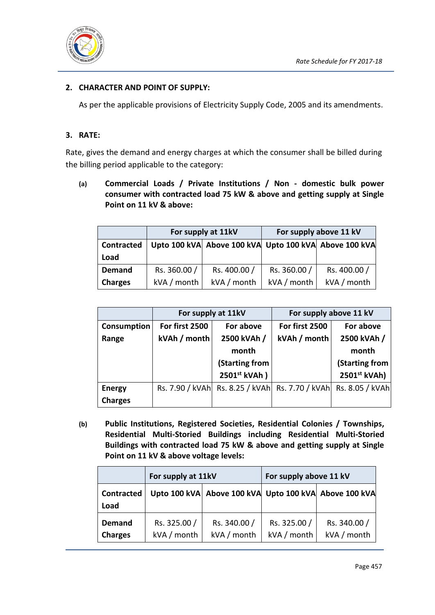

## **2. CHARACTER AND POINT OF SUPPLY:**

As per the applicable provisions of Electricity Supply Code, 2005 and its amendments.

## **3. RATE:**

Rate, gives the demand and energy charges at which the consumer shall be billed during the billing period applicable to the category:

**(a) Commercial Loads / Private Institutions / Non - domestic bulk power consumer with contracted load 75 kW & above and getting supply at Single Point on 11 kV & above:** 

|                | For supply at 11kV                                    |              | For supply above 11 kV |              |
|----------------|-------------------------------------------------------|--------------|------------------------|--------------|
| Contracted     | Upto 100 kVA Above 100 kVA Upto 100 kVA Above 100 kVA |              |                        |              |
| Load           |                                                       |              |                        |              |
| <b>Demand</b>  | Rs. 360.00 /                                          | Rs. 400.00 / | Rs. 360.00 /           | Rs. 400.00 / |
| <b>Charges</b> | kVA / month                                           | kVA / month  | kVA / month            | kVA / month  |

|                                            | For supply at 11kV        |                | For supply above 11 kV |                                                                 |
|--------------------------------------------|---------------------------|----------------|------------------------|-----------------------------------------------------------------|
| For first 2500<br>For above<br>Consumption |                           | For first 2500 | For above              |                                                                 |
| kVAh / month<br>Range                      |                           | 2500 kVAh /    | kVAh / month           | 2500 kVAh /                                                     |
|                                            |                           | month          |                        | month                                                           |
|                                            |                           | (Starting from |                        | (Starting from                                                  |
|                                            | 2501 <sup>st</sup> kVAh ) |                |                        | 2501st kVAh)                                                    |
| <b>Energy</b>                              |                           |                |                        | Rs. 7.90 / kVAh Rs. 8.25 / kVAh Rs. 7.70 / kVAh Rs. 8.05 / kVAh |
| <b>Charges</b>                             |                           |                |                        |                                                                 |

**(b) Public Institutions, Registered Societies, Residential Colonies / Townships, Residential Multi-Storied Buildings including Residential Multi-Storied Buildings with contracted load 75 kW & above and getting supply at Single Point on 11 kV & above voltage levels:**

|                                 | For supply at 11kV          |                                                       | For supply above 11 kV      |                             |
|---------------------------------|-----------------------------|-------------------------------------------------------|-----------------------------|-----------------------------|
| <b>Contracted</b><br>Load       |                             | Upto 100 kVA Above 100 kVA Upto 100 kVA Above 100 kVA |                             |                             |
| <b>Demand</b><br><b>Charges</b> | Rs. 325.00 /<br>kVA / month | Rs. 340.00 /<br>kVA / month                           | Rs. 325.00 /<br>kVA / month | Rs. 340.00 /<br>kVA / month |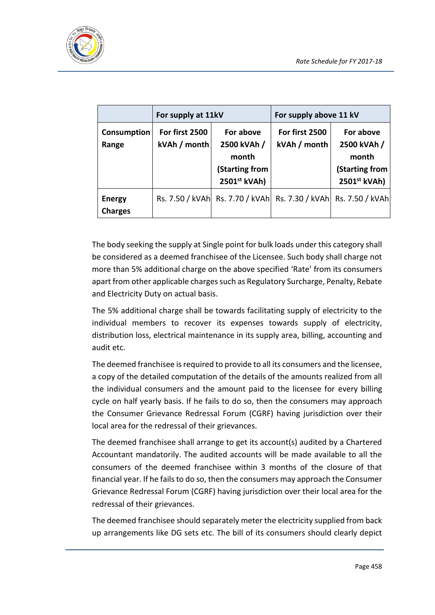

|                                 | For supply at 11kV             |                                                                     | For supply above 11 kV                                          |                                                                     |
|---------------------------------|--------------------------------|---------------------------------------------------------------------|-----------------------------------------------------------------|---------------------------------------------------------------------|
| Consumption<br>Range            | For first 2500<br>kVAh / month | For above<br>2500 kVAh /<br>month<br>(Starting from<br>2501st kVAh) | For first 2500<br>kVAh / month                                  | For above<br>2500 kVAh /<br>month<br>(Starting from<br>2501st kVAh) |
| <b>Energy</b><br><b>Charges</b> |                                |                                                                     | Rs. 7.50 / kVAh Rs. 7.70 / kVAh Rs. 7.30 / kVAh Rs. 7.50 / kVAh |                                                                     |

The body seeking the supply at Single point for bulk loads under this category shall be considered as a deemed franchisee of the Licensee. Such body shall charge not more than 5% additional charge on the above specified 'Rate' from its consumers apart from other applicable charges such as Regulatory Surcharge, Penalty, Rebate and Electricity Duty on actual basis.

The 5% additional charge shall be towards facilitating supply of electricity to the individual members to recover its expenses towards supply of electricity, distribution loss, electrical maintenance in its supply area, billing, accounting and audit etc.

The deemed franchisee is required to provide to all its consumers and the licensee, a copy of the detailed computation of the details of the amounts realized from all the individual consumers and the amount paid to the licensee for every billing cycle on half yearly basis. If he fails to do so, then the consumers may approach the Consumer Grievance Redressal Forum (CGRF) having jurisdiction over their local area for the redressal of their grievances.

The deemed franchisee shall arrange to get its account(s) audited by a Chartered Accountant mandatorily. The audited accounts will be made available to all the consumers of the deemed franchisee within 3 months of the closure of that financial year. If he fails to do so, then the consumers may approach the Consumer Grievance Redressal Forum (CGRF) having jurisdiction over their local area for the redressal of their grievances.

The deemed franchisee should separately meter the electricity supplied from back up arrangements like DG sets etc. The bill of its consumers should clearly depict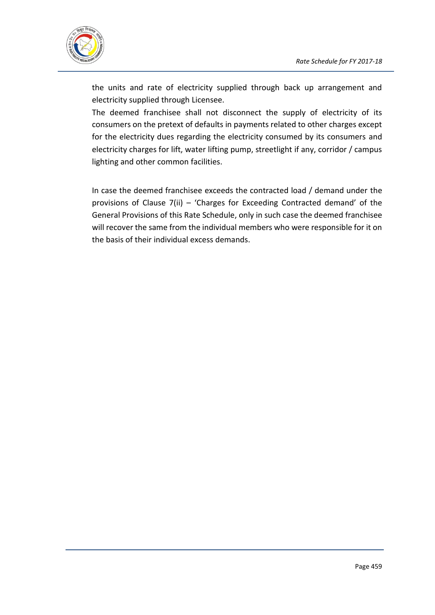

the units and rate of electricity supplied through back up arrangement and electricity supplied through Licensee.

The deemed franchisee shall not disconnect the supply of electricity of its consumers on the pretext of defaults in payments related to other charges except for the electricity dues regarding the electricity consumed by its consumers and electricity charges for lift, water lifting pump, streetlight if any, corridor / campus lighting and other common facilities.

In case the deemed franchisee exceeds the contracted load / demand under the provisions of Clause 7(ii) – 'Charges for Exceeding Contracted demand' of the General Provisions of this Rate Schedule, only in such case the deemed franchisee will recover the same from the individual members who were responsible for it on the basis of their individual excess demands.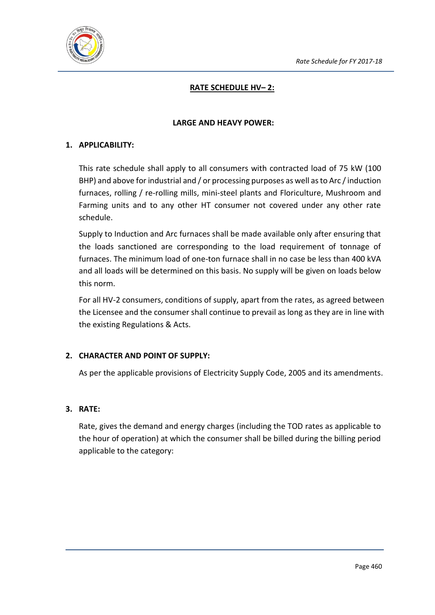

## **RATE SCHEDULE HV– 2:**

#### **LARGE AND HEAVY POWER:**

#### **1. APPLICABILITY:**

This rate schedule shall apply to all consumers with contracted load of 75 kW (100 BHP) and above for industrial and / or processing purposes as well as to Arc / induction furnaces, rolling / re-rolling mills, mini-steel plants and Floriculture, Mushroom and Farming units and to any other HT consumer not covered under any other rate schedule.

Supply to Induction and Arc furnaces shall be made available only after ensuring that the loads sanctioned are corresponding to the load requirement of tonnage of furnaces. The minimum load of one-ton furnace shall in no case be less than 400 kVA and all loads will be determined on this basis. No supply will be given on loads below this norm.

For all HV-2 consumers, conditions of supply, apart from the rates, as agreed between the Licensee and the consumer shall continue to prevail as long as they are in line with the existing Regulations & Acts.

## **2. CHARACTER AND POINT OF SUPPLY:**

As per the applicable provisions of Electricity Supply Code, 2005 and its amendments.

#### **3. RATE:**

Rate, gives the demand and energy charges (including the TOD rates as applicable to the hour of operation) at which the consumer shall be billed during the billing period applicable to the category: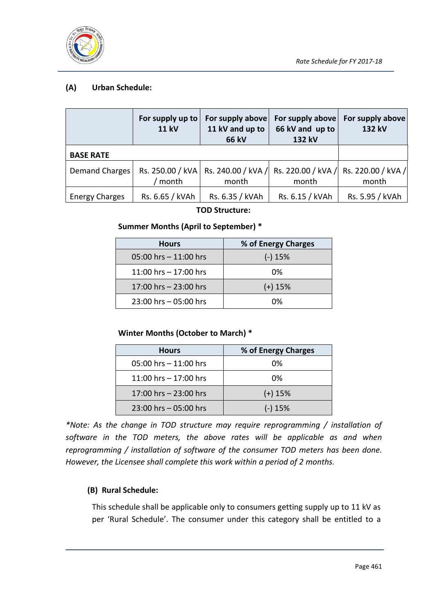

## **(A) Urban Schedule:**

|                       | For supply up to $ $<br><b>11 kV</b> | For supply above<br>11 kV and up to<br><b>66 kV</b> | For supply above<br>66 kV and up to<br>132 kV                                        | For supply above<br>132 kV |
|-----------------------|--------------------------------------|-----------------------------------------------------|--------------------------------------------------------------------------------------|----------------------------|
| <b>BASE RATE</b>      |                                      |                                                     |                                                                                      |                            |
| Demand Charges        | month                                | month                                               | Rs. 250.00 / kVA   Rs. 240.00 / kVA / Rs. 220.00 / kVA / Rs. 220.00 / kVA /<br>month | month                      |
| <b>Energy Charges</b> | Rs. 6.65 / kVAh                      | Rs. 6.35 / kVAh                                     | Rs. 6.15 / kVAh                                                                      | Rs. 5.95 / kVAh            |

#### **TOD Structure:**

#### **Summer Months (April to September) \***

| <b>Hours</b>             | % of Energy Charges |
|--------------------------|---------------------|
| $05:00$ hrs $-11:00$ hrs | $(-)$ 15%           |
| 11:00 hrs $- 17:00$ hrs  | 0%                  |
| 17:00 hrs - 23:00 hrs    | $(+)$ 15%           |
| $23:00$ hrs $-05:00$ hrs | በ%                  |

## **Winter Months (October to March) \***

| <b>Hours</b>             | % of Energy Charges |
|--------------------------|---------------------|
| $05:00$ hrs $-11:00$ hrs | 0%                  |
| 11:00 hrs $- 17:00$ hrs  | 0%                  |
| 17:00 hrs - 23:00 hrs    | $(+)$ 15%           |
| $23:00$ hrs $-05:00$ hrs | $(-)$ 15%           |

*\*Note: As the change in TOD structure may require reprogramming / installation of software in the TOD meters, the above rates will be applicable as and when reprogramming / installation of software of the consumer TOD meters has been done. However, the Licensee shall complete this work within a period of 2 months.*

## **(B) Rural Schedule:**

This schedule shall be applicable only to consumers getting supply up to 11 kV as per 'Rural Schedule'. The consumer under this category shall be entitled to a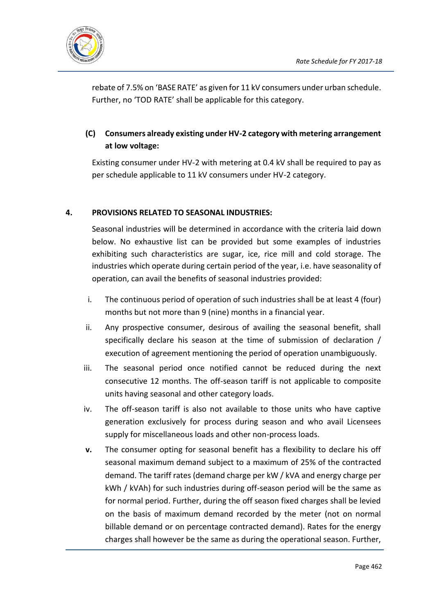

rebate of 7.5% on 'BASE RATE' as given for 11 kV consumers under urban schedule. Further, no 'TOD RATE' shall be applicable for this category.

## **(C) Consumers already existing under HV-2 category with metering arrangement at low voltage:**

Existing consumer under HV-2 with metering at 0.4 kV shall be required to pay as per schedule applicable to 11 kV consumers under HV-2 category.

## **4. PROVISIONS RELATED TO SEASONAL INDUSTRIES:**

Seasonal industries will be determined in accordance with the criteria laid down below. No exhaustive list can be provided but some examples of industries exhibiting such characteristics are sugar, ice, rice mill and cold storage. The industries which operate during certain period of the year, i.e. have seasonality of operation, can avail the benefits of seasonal industries provided:

- i. The continuous period of operation of such industries shall be at least 4 (four) months but not more than 9 (nine) months in a financial year.
- ii. Any prospective consumer, desirous of availing the seasonal benefit, shall specifically declare his season at the time of submission of declaration / execution of agreement mentioning the period of operation unambiguously.
- iii. The seasonal period once notified cannot be reduced during the next consecutive 12 months. The off-season tariff is not applicable to composite units having seasonal and other category loads.
- iv. The off-season tariff is also not available to those units who have captive generation exclusively for process during season and who avail Licensees supply for miscellaneous loads and other non-process loads.
- **v.** The consumer opting for seasonal benefit has a flexibility to declare his off seasonal maximum demand subject to a maximum of 25% of the contracted demand. The tariff rates (demand charge per kW / kVA and energy charge per kWh / kVAh) for such industries during off-season period will be the same as for normal period. Further, during the off season fixed charges shall be levied on the basis of maximum demand recorded by the meter (not on normal billable demand or on percentage contracted demand). Rates for the energy charges shall however be the same as during the operational season. Further,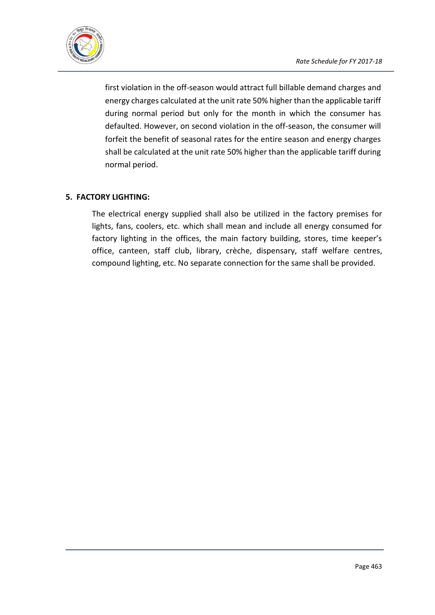

first violation in the off-season would attract full billable demand charges and energy charges calculated at the unit rate 50% higher than the applicable tariff during normal period but only for the month in which the consumer has defaulted. However, on second violation in the off-season, the consumer will forfeit the benefit of seasonal rates for the entire season and energy charges shall be calculated at the unit rate 50% higher than the applicable tariff during normal period.

## **5. FACTORY LIGHTING:**

The electrical energy supplied shall also be utilized in the factory premises for lights, fans, coolers, etc. which shall mean and include all energy consumed for factory lighting in the offices, the main factory building, stores, time keeper's office, canteen, staff club, library, crèche, dispensary, staff welfare centres, compound lighting, etc. No separate connection for the same shall be provided.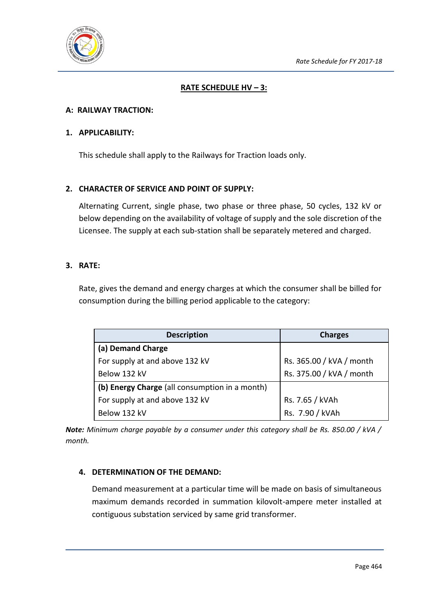

## **RATE SCHEDULE HV – 3:**

#### **A: RAILWAY TRACTION:**

#### **1. APPLICABILITY:**

This schedule shall apply to the Railways for Traction loads only.

#### **2. CHARACTER OF SERVICE AND POINT OF SUPPLY:**

Alternating Current, single phase, two phase or three phase, 50 cycles, 132 kV or below depending on the availability of voltage of supply and the sole discretion of the Licensee. The supply at each sub-station shall be separately metered and charged.

#### **3. RATE:**

Rate, gives the demand and energy charges at which the consumer shall be billed for consumption during the billing period applicable to the category:

| <b>Description</b>                             | <b>Charges</b>           |
|------------------------------------------------|--------------------------|
| (a) Demand Charge                              |                          |
| For supply at and above 132 kV                 | Rs. 365.00 / kVA / month |
| Below 132 kV                                   | Rs. 375.00 / kVA / month |
| (b) Energy Charge (all consumption in a month) |                          |
| For supply at and above 132 kV                 | Rs. 7.65 / kVAh          |
| Below 132 kV                                   | Rs. 7.90 / kVAh          |

*Note: Minimum charge payable by a consumer under this category shall be Rs. 850.00 / kVA / month.*

## **4. DETERMINATION OF THE DEMAND:**

Demand measurement at a particular time will be made on basis of simultaneous maximum demands recorded in summation kilovolt-ampere meter installed at contiguous substation serviced by same grid transformer.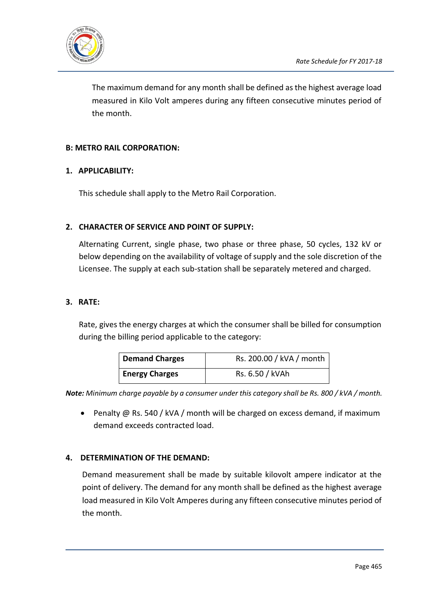

The maximum demand for any month shall be defined as the highest average load measured in Kilo Volt amperes during any fifteen consecutive minutes period of the month.

## **B: METRO RAIL CORPORATION:**

#### **1. APPLICABILITY:**

This schedule shall apply to the Metro Rail Corporation.

#### **2. CHARACTER OF SERVICE AND POINT OF SUPPLY:**

Alternating Current, single phase, two phase or three phase, 50 cycles, 132 kV or below depending on the availability of voltage of supply and the sole discretion of the Licensee. The supply at each sub-station shall be separately metered and charged.

#### **3. RATE:**

Rate, gives the energy charges at which the consumer shall be billed for consumption during the billing period applicable to the category:

| <b>Demand Charges</b> | Rs. 200.00 / kVA / month |
|-----------------------|--------------------------|
| <b>Energy Charges</b> | Rs. 6.50 / kVAh          |

*Note: Minimum charge payable by a consumer under this category shall be Rs. 800 / kVA / month.*

• Penalty @ Rs. 540 / kVA / month will be charged on excess demand, if maximum demand exceeds contracted load.

## **4. DETERMINATION OF THE DEMAND:**

Demand measurement shall be made by suitable kilovolt ampere indicator at the point of delivery. The demand for any month shall be defined as the highest average load measured in Kilo Volt Amperes during any fifteen consecutive minutes period of the month.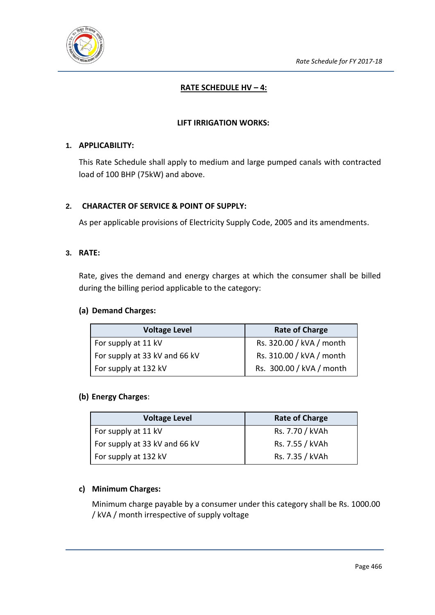

## **RATE SCHEDULE HV - 4:**

### **LIFT IRRIGATION WORKS:**

#### **1. APPLICABILITY:**

This Rate Schedule shall apply to medium and large pumped canals with contracted load of 100 BHP (75kW) and above.

#### **2. CHARACTER OF SERVICE & POINT OF SUPPLY:**

As per applicable provisions of Electricity Supply Code, 2005 and its amendments.

#### **3. RATE:**

Rate, gives the demand and energy charges at which the consumer shall be billed during the billing period applicable to the category:

#### **(a) Demand Charges:**

| <b>Voltage Level</b>          | <b>Rate of Charge</b>    |
|-------------------------------|--------------------------|
| For supply at 11 kV           | Rs. 320.00 / kVA / month |
| For supply at 33 kV and 66 kV | Rs. 310.00 / kVA / month |
| For supply at 132 kV          | Rs. 300.00 / kVA / month |

#### **(b) Energy Charges**:

| <b>Voltage Level</b>          | <b>Rate of Charge</b> |
|-------------------------------|-----------------------|
| For supply at 11 kV           | Rs. 7.70 / kVAh       |
| For supply at 33 kV and 66 kV | Rs. 7.55 / kVAh       |
| For supply at 132 kV          | Rs. 7.35 / kVAh       |

#### **c) Minimum Charges:**

Minimum charge payable by a consumer under this category shall be Rs. 1000.00 / kVA / month irrespective of supply voltage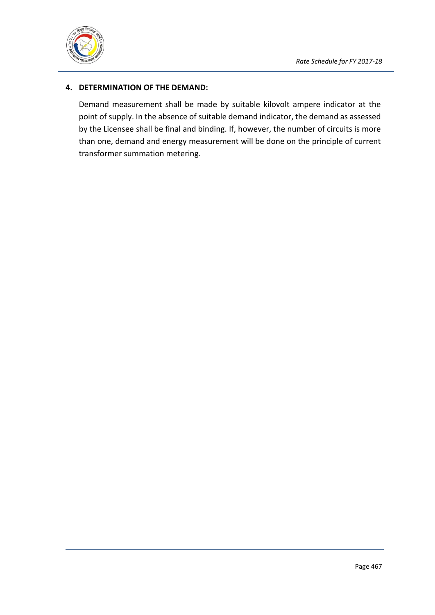

## **4. DETERMINATION OF THE DEMAND:**

Demand measurement shall be made by suitable kilovolt ampere indicator at the point of supply. In the absence of suitable demand indicator, the demand as assessed by the Licensee shall be final and binding. If, however, the number of circuits is more than one, demand and energy measurement will be done on the principle of current transformer summation metering.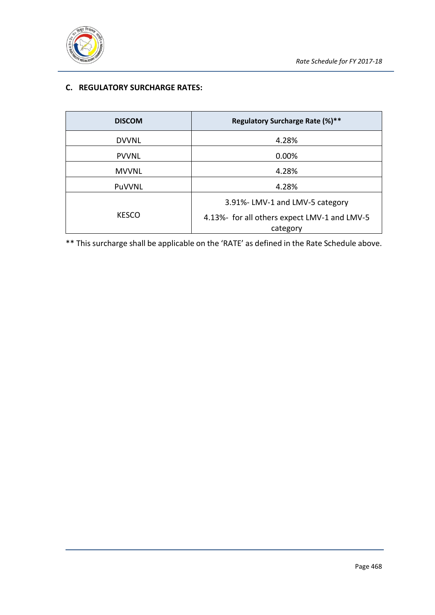

## **C. REGULATORY SURCHARGE RATES:**

| <b>DISCOM</b> | Regulatory Surcharge Rate (%)**                          |  |
|---------------|----------------------------------------------------------|--|
| <b>DVVNL</b>  | 4.28%                                                    |  |
| <b>PVVNL</b>  | 0.00%                                                    |  |
| <b>MVVNL</b>  | 4.28%                                                    |  |
| PuVVNL        | 4.28%                                                    |  |
|               | 3.91%-LMV-1 and LMV-5 category                           |  |
| <b>KESCO</b>  | 4.13%- for all others expect LMV-1 and LMV-5<br>category |  |

\*\* This surcharge shall be applicable on the 'RATE' as defined in the Rate Schedule above.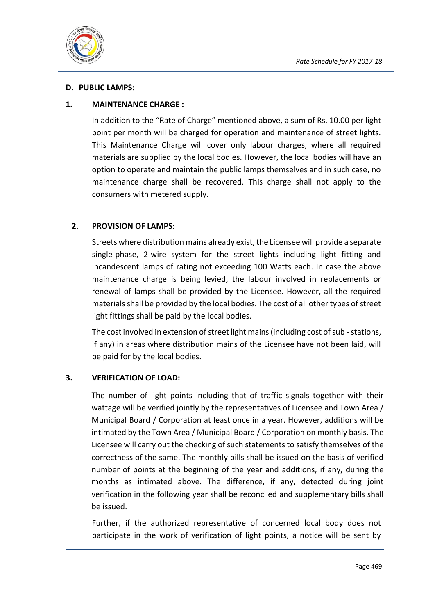

#### **D. PUBLIC LAMPS:**

#### **1. MAINTENANCE CHARGE :**

In addition to the "Rate of Charge" mentioned above, a sum of Rs. 10.00 per light point per month will be charged for operation and maintenance of street lights. This Maintenance Charge will cover only labour charges, where all required materials are supplied by the local bodies. However, the local bodies will have an option to operate and maintain the public lamps themselves and in such case, no maintenance charge shall be recovered. This charge shall not apply to the consumers with metered supply.

#### **2. PROVISION OF LAMPS:**

Streets where distribution mains already exist, the Licensee will provide a separate single-phase, 2-wire system for the street lights including light fitting and incandescent lamps of rating not exceeding 100 Watts each. In case the above maintenance charge is being levied, the labour involved in replacements or renewal of lamps shall be provided by the Licensee. However, all the required materials shall be provided by the local bodies. The cost of all other types of street light fittings shall be paid by the local bodies.

The cost involved in extension of street light mains (including cost of sub - stations, if any) in areas where distribution mains of the Licensee have not been laid, will be paid for by the local bodies.

#### **3. VERIFICATION OF LOAD:**

The number of light points including that of traffic signals together with their wattage will be verified jointly by the representatives of Licensee and Town Area / Municipal Board / Corporation at least once in a year. However, additions will be intimated by the Town Area / Municipal Board / Corporation on monthly basis. The Licensee will carry out the checking of such statements to satisfy themselves of the correctness of the same. The monthly bills shall be issued on the basis of verified number of points at the beginning of the year and additions, if any, during the months as intimated above. The difference, if any, detected during joint verification in the following year shall be reconciled and supplementary bills shall be issued.

Further, if the authorized representative of concerned local body does not participate in the work of verification of light points, a notice will be sent by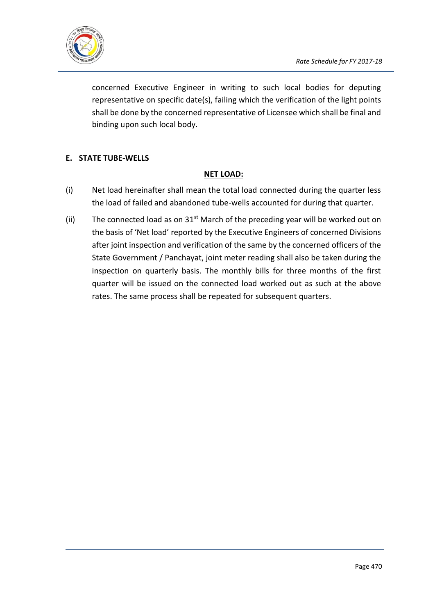

concerned Executive Engineer in writing to such local bodies for deputing representative on specific date(s), failing which the verification of the light points shall be done by the concerned representative of Licensee which shall be final and binding upon such local body.

## **E. STATE TUBE-WELLS**

#### **NET LOAD:**

- (i) Net load hereinafter shall mean the total load connected during the quarter less the load of failed and abandoned tube-wells accounted for during that quarter.
- (ii) The connected load as on  $31<sup>st</sup>$  March of the preceding year will be worked out on the basis of 'Net load' reported by the Executive Engineers of concerned Divisions after joint inspection and verification of the same by the concerned officers of the State Government / Panchayat, joint meter reading shall also be taken during the inspection on quarterly basis. The monthly bills for three months of the first quarter will be issued on the connected load worked out as such at the above rates. The same process shall be repeated for subsequent quarters.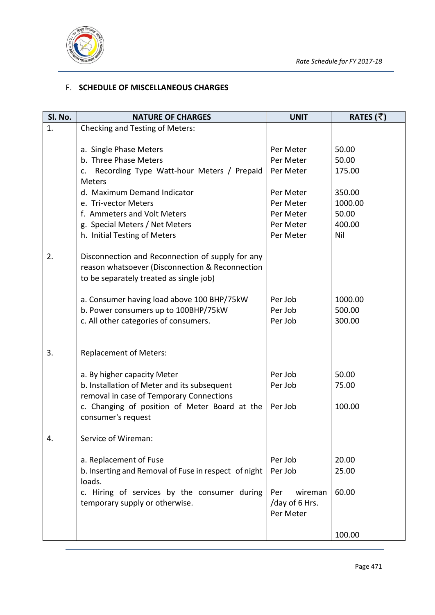

### F. **SCHEDULE OF MISCELLANEOUS CHARGES**

| SI. No. | <b>NATURE OF CHARGES</b>                                                           | <b>UNIT</b>    | RATES (₹) |
|---------|------------------------------------------------------------------------------------|----------------|-----------|
| 1.      | <b>Checking and Testing of Meters:</b>                                             |                |           |
|         |                                                                                    |                |           |
|         | a. Single Phase Meters                                                             | Per Meter      | 50.00     |
|         | b. Three Phase Meters                                                              | Per Meter      | 50.00     |
|         | Recording Type Watt-hour Meters / Prepaid<br>c.<br><b>Meters</b>                   | Per Meter      | 175.00    |
|         | d. Maximum Demand Indicator                                                        | Per Meter      | 350.00    |
|         | e. Tri-vector Meters                                                               | Per Meter      | 1000.00   |
|         | f. Ammeters and Volt Meters                                                        | Per Meter      | 50.00     |
|         | g. Special Meters / Net Meters                                                     | Per Meter      | 400.00    |
|         | h. Initial Testing of Meters                                                       | Per Meter      | Nil       |
|         |                                                                                    |                |           |
| 2.      | Disconnection and Reconnection of supply for any                                   |                |           |
|         | reason whatsoever (Disconnection & Reconnection                                    |                |           |
|         | to be separately treated as single job)                                            |                |           |
|         |                                                                                    | Per Job        | 1000.00   |
|         | a. Consumer having load above 100 BHP/75kW<br>b. Power consumers up to 100BHP/75kW | Per Job        | 500.00    |
|         | c. All other categories of consumers.                                              | Per Job        | 300.00    |
|         |                                                                                    |                |           |
|         |                                                                                    |                |           |
| 3.      | <b>Replacement of Meters:</b>                                                      |                |           |
|         |                                                                                    |                |           |
|         | a. By higher capacity Meter                                                        | Per Job        | 50.00     |
|         | b. Installation of Meter and its subsequent                                        | Per Job        | 75.00     |
|         | removal in case of Temporary Connections                                           |                |           |
|         | c. Changing of position of Meter Board at the                                      | Per Job        | 100.00    |
|         | consumer's request                                                                 |                |           |
| 4.      | Service of Wireman:                                                                |                |           |
|         |                                                                                    |                |           |
|         | a. Replacement of Fuse                                                             | Per Job        | 20.00     |
|         | b. Inserting and Removal of Fuse in respect of night                               | Per Job        | 25.00     |
|         | loads.                                                                             |                |           |
|         | c. Hiring of services by the consumer during                                       | wireman<br>Per | 60.00     |
|         | temporary supply or otherwise.                                                     | /day of 6 Hrs. |           |
|         |                                                                                    | Per Meter      |           |
|         |                                                                                    |                |           |
|         |                                                                                    |                | 100.00    |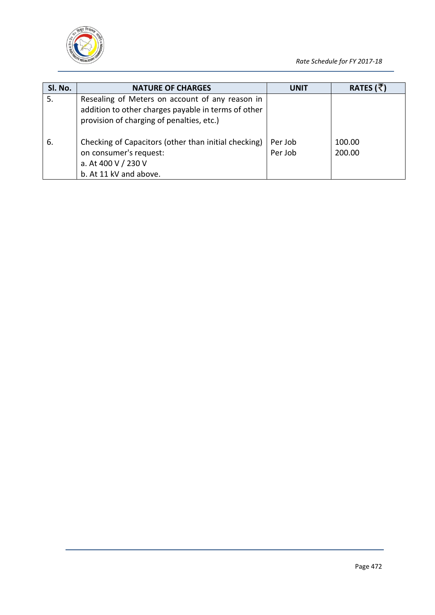

| SI. No. | <b>NATURE OF CHARGES</b>                                                                                                                            | <b>UNIT</b>        | RATES ( $\bar{z}$ ) |
|---------|-----------------------------------------------------------------------------------------------------------------------------------------------------|--------------------|---------------------|
| 5.      | Resealing of Meters on account of any reason in<br>addition to other charges payable in terms of other<br>provision of charging of penalties, etc.) |                    |                     |
| 6.      | Checking of Capacitors (other than initial checking)<br>on consumer's request:<br>a. At 400 V / 230 V<br>b. At 11 kV and above.                     | Per Job<br>Per Job | 100.00<br>200.00    |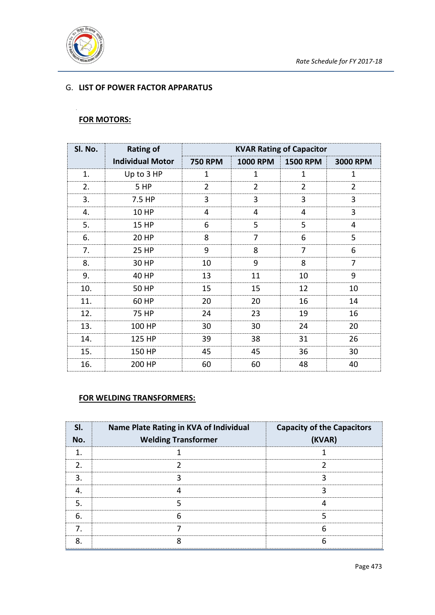

## G. **LIST OF POWER FACTOR APPARATUS**

## **FOR MOTORS:**

| SI. No. | <b>Rating of</b>        | <b>KVAR Rating of Capacitor</b> |                 |                 |                 |
|---------|-------------------------|---------------------------------|-----------------|-----------------|-----------------|
|         | <b>Individual Motor</b> | <b>750 RPM</b>                  | <b>1000 RPM</b> | <b>1500 RPM</b> | <b>3000 RPM</b> |
| 1.      | Up to 3 HP              | 1                               | 1               | 1               | 1               |
| 2.      | 5 HP                    | 2                               | $\overline{2}$  | 2               | 2               |
| 3.      | 7.5 HP                  | 3                               | 3               | 3               | 3               |
| 4.      | 10 HP                   | 4                               | 4               | 4               | 3               |
| 5.      | 15 HP                   | 6                               | 5               | 5               | 4               |
| 6.      | 20 HP                   | 8                               | 7               | 6               | 5               |
| 7.      | 25 HP                   | 9                               | 8               | 7               | 6               |
| 8.      | 30 HP                   | 10                              | 9               | 8               | 7               |
| 9.      | 40 HP                   | 13                              | 11              | 10              | 9               |
| 10.     | 50 HP                   | 15                              | 15              | 12              | 10              |
| 11.     | 60 HP                   | 20                              | 20              | 16              | 14              |
| 12.     | 75 HP                   | 24                              | 23              | 19              | 16              |
| 13.     | 100 HP                  | 30                              | 30              | 24              | 20              |
| 14.     | 125 HP                  | 39                              | 38              | 31              | 26              |
| 15.     | 150 HP                  | 45                              | 45              | 36              | 30              |
| 16.     | 200 HP                  | 60                              | 60              | 48              | 40              |

#### **FOR WELDING TRANSFORMERS:**

| SL.<br>No. | Name Plate Rating in KVA of Individual<br><b>Welding Transformer</b> | <b>Capacity of the Capacitors</b><br>(KVAR) |
|------------|----------------------------------------------------------------------|---------------------------------------------|
|            |                                                                      |                                             |
|            |                                                                      |                                             |
|            |                                                                      |                                             |
|            |                                                                      |                                             |
|            |                                                                      |                                             |
| 6          |                                                                      |                                             |
| 7          |                                                                      |                                             |
|            |                                                                      |                                             |